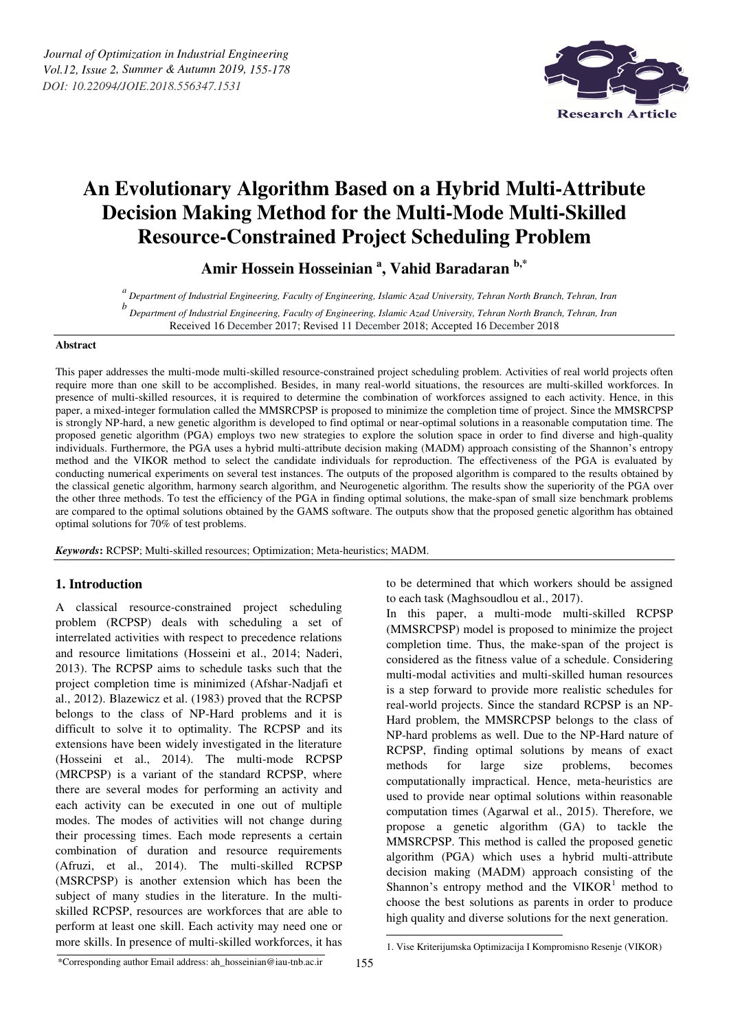

# **An Evolutionary Algorithm Based on a Hybrid Multi-Attribute Decision Making Method for the Multi-Mode Multi-Skilled Resource-Constrained Project Scheduling Problem**

**Amir Hossein Hosseinian <sup>a</sup> , Vahid Baradaran b,\***

*a Department of Industrial Engineering, Faculty of Engineering, Islamic Azad University, Tehran North Branch, Tehran, Iran* 

*b Department of Industrial Engineering, Faculty of Engineering, Islamic Azad University, Tehran North Branch, Tehran, Iran*  Received 16 December 2017; Revised 11 December 2018; Accepted 16 December 2018

## **Abstract**

This paper addresses the multi-mode multi-skilled resource-constrained project scheduling problem. Activities of real world projects often require more than one skill to be accomplished. Besides, in many real-world situations, the resources are multi-skilled workforces. In presence of multi-skilled resources, it is required to determine the combination of workforces assigned to each activity. Hence, in this paper, a mixed-integer formulation called the MMSRCPSP is proposed to minimize the completion time of project. Since the MMSRCPSP is strongly NP-hard, a new genetic algorithm is developed to find optimal or near-optimal solutions in a reasonable computation time. The proposed genetic algorithm (PGA) employs two new strategies to explore the solution space in order to find diverse and high-quality individuals. Furthermore, the PGA uses a hybrid multi-attribute decision making (MADM) approach consisting of the Shannon's entropy method and the VIKOR method to select the candidate individuals for reproduction. The effectiveness of the PGA is evaluated by conducting numerical experiments on several test instances. The outputs of the proposed algorithm is compared to the results obtained by the classical genetic algorithm, harmony search algorithm, and Neurogenetic algorithm. The results show the superiority of the PGA over the other three methods. To test the efficiency of the PGA in finding optimal solutions, the make-span of small size benchmark problems are compared to the optimal solutions obtained by the GAMS software. The outputs show that the proposed genetic algorithm has obtained optimal solutions for 70% of test problems.

*Keywords***:** RCPSP; Multi-skilled resources; Optimization; Meta-heuristics; MADM.

# **1. Introduction**

A classical resource-constrained project scheduling problem (RCPSP) deals with scheduling a set of interrelated activities with respect to precedence relations and resource limitations (Hosseini et al., 2014; Naderi, 2013). The RCPSP aims to schedule tasks such that the project completion time is minimized (Afshar-Nadjafi et al., 2012). Blazewicz et al. (1983) proved that the RCPSP belongs to the class of NP-Hard problems and it is difficult to solve it to optimality. The RCPSP and its extensions have been widely investigated in the literature (Hosseini et al., 2014). The multi-mode RCPSP (MRCPSP) is a variant of the standard RCPSP, where there are several modes for performing an activity and each activity can be executed in one out of multiple modes. The modes of activities will not change during their processing times. Each mode represents a certain combination of duration and resource requirements (Afruzi, et al., 2014). The multi-skilled RCPSP (MSRCPSP) is another extension which has been the subject of many studies in the literature. In the multiskilled RCPSP, resources are workforces that are able to perform at least one skill. Each activity may need one or more skills. In presence of multi-skilled workforces, it has

to be determined that which workers should be assigned to each task (Maghsoudlou et al., 2017).

In this paper, a multi-mode multi-skilled RCPSP (MMSRCPSP) model is proposed to minimize the project completion time. Thus, the make-span of the project is considered as the fitness value of a schedule. Considering multi-modal activities and multi-skilled human resources is a step forward to provide more realistic schedules for real-world projects. Since the standard RCPSP is an NP-Hard problem, the MMSRCPSP belongs to the class of NP-hard problems as well. Due to the NP-Hard nature of RCPSP, finding optimal solutions by means of exact methods for large size problems, becomes computationally impractical. Hence, meta-heuristics are used to provide near optimal solutions within reasonable computation times (Agarwal et al., 2015). Therefore, we propose a genetic algorithm (GA) to tackle the MMSRCPSP. This method is called the proposed genetic algorithm (PGA) which uses a hybrid multi-attribute decision making (MADM) approach consisting of the Shannon's entropy method and the  $VIKOR<sup>1</sup>$  method to choose the best solutions as parents in order to produce high quality and diverse solutions for the next generation.

.

<sup>\*</sup>Corresponding author Email address: ah\_hosseinian@iau-tnb.ac.ir

<sup>1.</sup> Vise Kriterijumska Optimizacija I Kompromisno Resenje (VIKOR)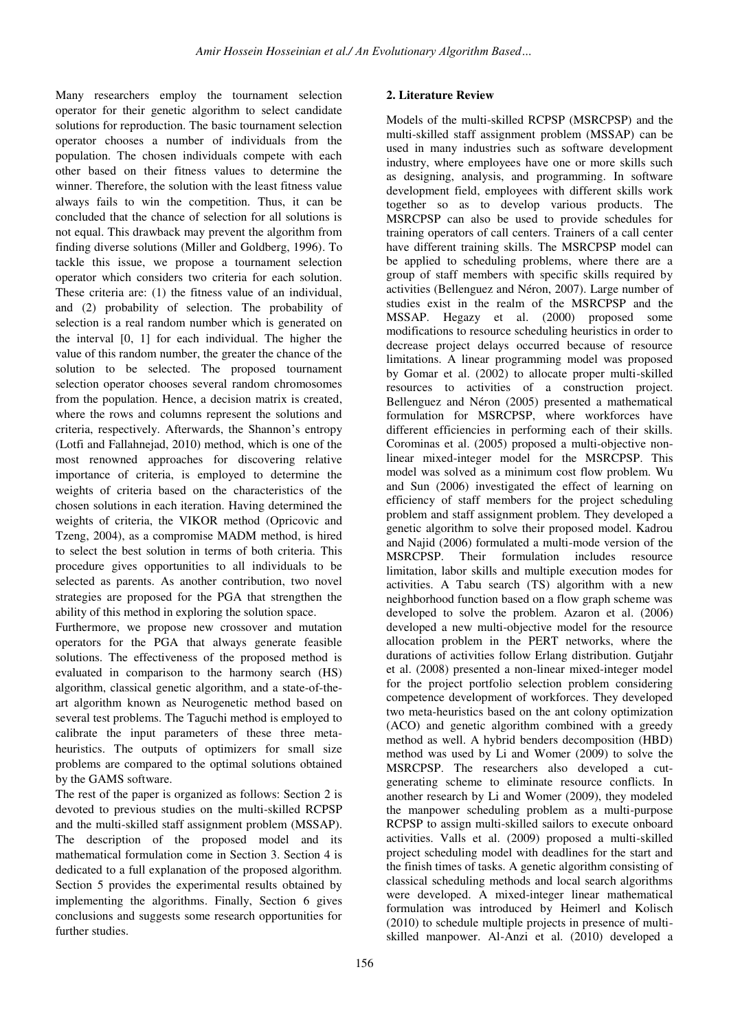Many researchers employ the tournament selection operator for their genetic algorithm to select candidate solutions for reproduction. The basic tournament selection operator chooses a number of individuals from the population. The chosen individuals compete with each other based on their fitness values to determine the winner. Therefore, the solution with the least fitness value always fails to win the competition. Thus, it can be concluded that the chance of selection for all solutions is not equal. This drawback may prevent the algorithm from finding diverse solutions (Miller and Goldberg, 1996). To tackle this issue, we propose a tournament selection operator which considers two criteria for each solution. These criteria are: (1) the fitness value of an individual, and (2) probability of selection. The probability of selection is a real random number which is generated on the interval [0, 1] for each individual. The higher the value of this random number, the greater the chance of the solution to be selected. The proposed tournament selection operator chooses several random chromosomes from the population. Hence, a decision matrix is created, where the rows and columns represent the solutions and criteria, respectively. Afterwards, the Shannon's entropy (Lotfi and Fallahnejad, 2010) method, which is one of the most renowned approaches for discovering relative importance of criteria, is employed to determine the weights of criteria based on the characteristics of the chosen solutions in each iteration. Having determined the weights of criteria, the VIKOR method (Opricovic and Tzeng, 2004), as a compromise MADM method, is hired to select the best solution in terms of both criteria. This procedure gives opportunities to all individuals to be selected as parents. As another contribution, two novel strategies are proposed for the PGA that strengthen the ability of this method in exploring the solution space.

Furthermore, we propose new crossover and mutation operators for the PGA that always generate feasible solutions. The effectiveness of the proposed method is evaluated in comparison to the harmony search (HS) algorithm, classical genetic algorithm, and a state-of-theart algorithm known as Neurogenetic method based on several test problems. The Taguchi method is employed to calibrate the input parameters of these three metaheuristics. The outputs of optimizers for small size problems are compared to the optimal solutions obtained by the GAMS software.

The rest of the paper is organized as follows: Section 2 is devoted to previous studies on the multi-skilled RCPSP and the multi-skilled staff assignment problem (MSSAP). The description of the proposed model and its mathematical formulation come in Section 3. Section 4 is dedicated to a full explanation of the proposed algorithm. Section 5 provides the experimental results obtained by implementing the algorithms. Finally, Section 6 gives conclusions and suggests some research opportunities for further studies.

## **2. Literature Review**

Models of the multi-skilled RCPSP (MSRCPSP) and the multi-skilled staff assignment problem (MSSAP) can be used in many industries such as software development industry, where employees have one or more skills such as designing, analysis, and programming. In software development field, employees with different skills work together so as to develop various products. The MSRCPSP can also be used to provide schedules for training operators of call centers. Trainers of a call center have different training skills. The MSRCPSP model can be applied to scheduling problems, where there are a group of staff members with specific skills required by activities (Bellenguez and Néron, 2007). Large number of studies exist in the realm of the MSRCPSP and the MSSAP. Hegazy et al. (2000) proposed some modifications to resource scheduling heuristics in order to decrease project delays occurred because of resource limitations. A linear programming model was proposed by Gomar et al. (2002) to allocate proper multi-skilled resources to activities of a construction project. Bellenguez and Néron (2005) presented a mathematical formulation for MSRCPSP, where workforces have different efficiencies in performing each of their skills. Corominas et al. (2005) proposed a multi-objective nonlinear mixed-integer model for the MSRCPSP. This model was solved as a minimum cost flow problem. Wu and Sun (2006) investigated the effect of learning on efficiency of staff members for the project scheduling problem and staff assignment problem. They developed a genetic algorithm to solve their proposed model. Kadrou and Najid (2006) formulated a multi-mode version of the MSRCPSP. Their formulation includes resource formulation includes resource limitation, labor skills and multiple execution modes for activities. A Tabu search (TS) algorithm with a new neighborhood function based on a flow graph scheme was developed to solve the problem. Azaron et al. (2006) developed a new multi-objective model for the resource allocation problem in the PERT networks, where the durations of activities follow Erlang distribution. Gutjahr et al. (2008) presented a non-linear mixed-integer model for the project portfolio selection problem considering competence development of workforces. They developed two meta-heuristics based on the ant colony optimization (ACO) and genetic algorithm combined with a greedy method as well. A hybrid benders decomposition (HBD) method was used by Li and Womer (2009) to solve the MSRCPSP. The researchers also developed a cutgenerating scheme to eliminate resource conflicts. In another research by Li and Womer (2009), they modeled the manpower scheduling problem as a multi-purpose RCPSP to assign multi-skilled sailors to execute onboard activities. Valls et al. (2009) proposed a multi-skilled project scheduling model with deadlines for the start and the finish times of tasks. A genetic algorithm consisting of classical scheduling methods and local search algorithms were developed. A mixed-integer linear mathematical formulation was introduced by Heimerl and Kolisch (2010) to schedule multiple projects in presence of multiskilled manpower. Al-Anzi et al. (2010) developed a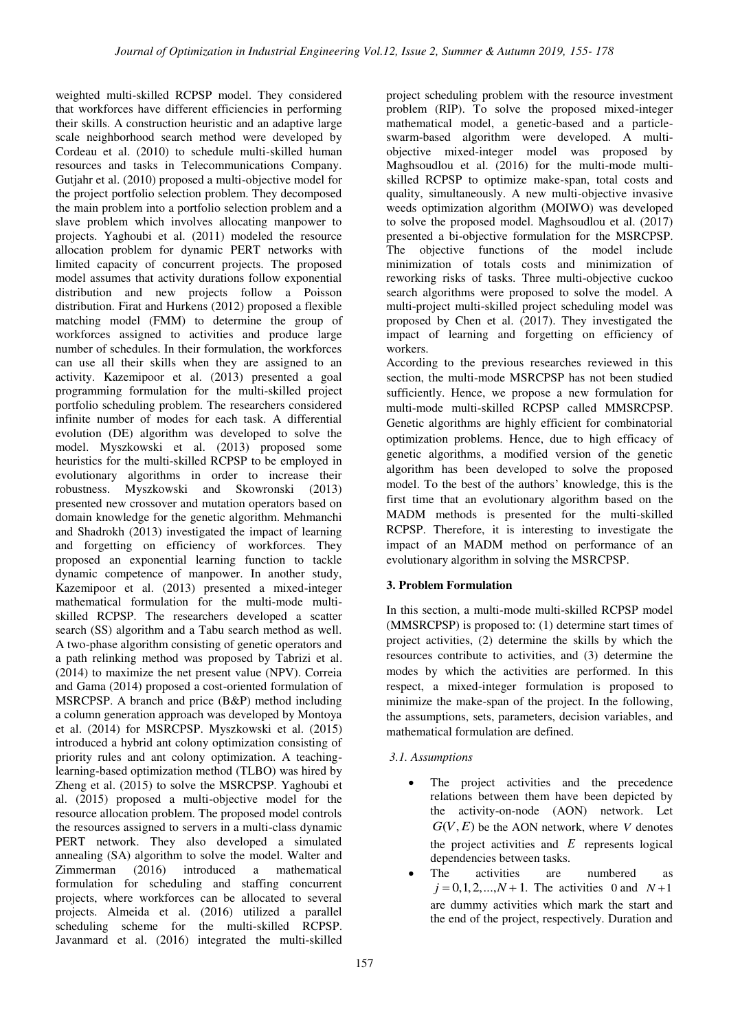weighted multi-skilled RCPSP model. They considered that workforces have different efficiencies in performing their skills. A construction heuristic and an adaptive large scale neighborhood search method were developed by Cordeau et al. (2010) to schedule multi-skilled human resources and tasks in Telecommunications Company. Gutjahr et al. (2010) proposed a multi-objective model for the project portfolio selection problem. They decomposed the main problem into a portfolio selection problem and a slave problem which involves allocating manpower to projects. Yaghoubi et al. (2011) modeled the resource allocation problem for dynamic PERT networks with limited capacity of concurrent projects. The proposed model assumes that activity durations follow exponential distribution and new projects follow a Poisson distribution. Firat and Hurkens (2012) proposed a flexible matching model (FMM) to determine the group of workforces assigned to activities and produce large number of schedules. In their formulation, the workforces can use all their skills when they are assigned to an activity. Kazemipoor et al. (2013) presented a goal programming formulation for the multi-skilled project portfolio scheduling problem. The researchers considered infinite number of modes for each task. A differential evolution (DE) algorithm was developed to solve the model. Myszkowski et al. (2013) proposed some heuristics for the multi-skilled RCPSP to be employed in evolutionary algorithms in order to increase their robustness. Myszkowski and Skowronski (2013) presented new crossover and mutation operators based on domain knowledge for the genetic algorithm. Mehmanchi and Shadrokh (2013) investigated the impact of learning and forgetting on efficiency of workforces. They proposed an exponential learning function to tackle dynamic competence of manpower. In another study, Kazemipoor et al. (2013) presented a mixed-integer mathematical formulation for the multi-mode multiskilled RCPSP. The researchers developed a scatter search (SS) algorithm and a Tabu search method as well. A two-phase algorithm consisting of genetic operators and a path relinking method was proposed by Tabrizi et al. (2014) to maximize the net present value (NPV). Correia and Gama (2014) proposed a cost-oriented formulation of MSRCPSP. A branch and price (B&P) method including a column generation approach was developed by Montoya et al. (2014) for MSRCPSP. Myszkowski et al. (2015) introduced a hybrid ant colony optimization consisting of priority rules and ant colony optimization. A teachinglearning-based optimization method (TLBO) was hired by Zheng et al. (2015) to solve the MSRCPSP. Yaghoubi et al. (2015) proposed a multi-objective model for the resource allocation problem. The proposed model controls the resources assigned to servers in a multi-class dynamic PERT network. They also developed a simulated annealing (SA) algorithm to solve the model. Walter and Zimmerman (2016) introduced a mathematical formulation for scheduling and staffing concurrent projects, where workforces can be allocated to several projects. Almeida et al. (2016) utilized a parallel scheduling scheme for the multi-skilled RCPSP. Javanmard et al. (2016) integrated the multi-skilled

project scheduling problem with the resource investment problem (RIP). To solve the proposed mixed-integer mathematical model, a genetic-based and a particleswarm-based algorithm were developed. A multiobjective mixed-integer model was proposed by Maghsoudlou et al. (2016) for the multi-mode multiskilled RCPSP to optimize make-span, total costs and quality, simultaneously. A new multi-objective invasive weeds optimization algorithm (MOIWO) was developed to solve the proposed model. Maghsoudlou et al. (2017) presented a bi-objective formulation for the MSRCPSP. The objective functions of the model include minimization of totals costs and minimization of reworking risks of tasks. Three multi-objective cuckoo search algorithms were proposed to solve the model. A multi-project multi-skilled project scheduling model was proposed by Chen et al. (2017). They investigated the impact of learning and forgetting on efficiency of workers.

According to the previous researches reviewed in this section, the multi-mode MSRCPSP has not been studied sufficiently. Hence, we propose a new formulation for multi-mode multi-skilled RCPSP called MMSRCPSP. Genetic algorithms are highly efficient for combinatorial optimization problems. Hence, due to high efficacy of genetic algorithms, a modified version of the genetic algorithm has been developed to solve the proposed model. To the best of the authors' knowledge, this is the first time that an evolutionary algorithm based on the MADM methods is presented for the multi-skilled RCPSP. Therefore, it is interesting to investigate the impact of an MADM method on performance of an evolutionary algorithm in solving the MSRCPSP.

# **3. Problem Formulation**

In this section, a multi-mode multi-skilled RCPSP model (MMSRCPSP) is proposed to: (1) determine start times of project activities, (2) determine the skills by which the resources contribute to activities, and (3) determine the modes by which the activities are performed. In this respect, a mixed-integer formulation is proposed to minimize the make-span of the project. In the following, the assumptions, sets, parameters, decision variables, and mathematical formulation are defined.

# *3.1. Assumptions*

- The project activities and the precedence relations between them have been depicted by the activity-on-node (AON) network. Let  $G(V, E)$  be the AON network, where *V* denotes the project activities and *E* represents logical dependencies between tasks.
- The activities are numbered as  $j = 0, 1, 2, ..., N + 1$ . The activities 0 and  $N+1$ are dummy activities which mark the start and the end of the project, respectively. Duration and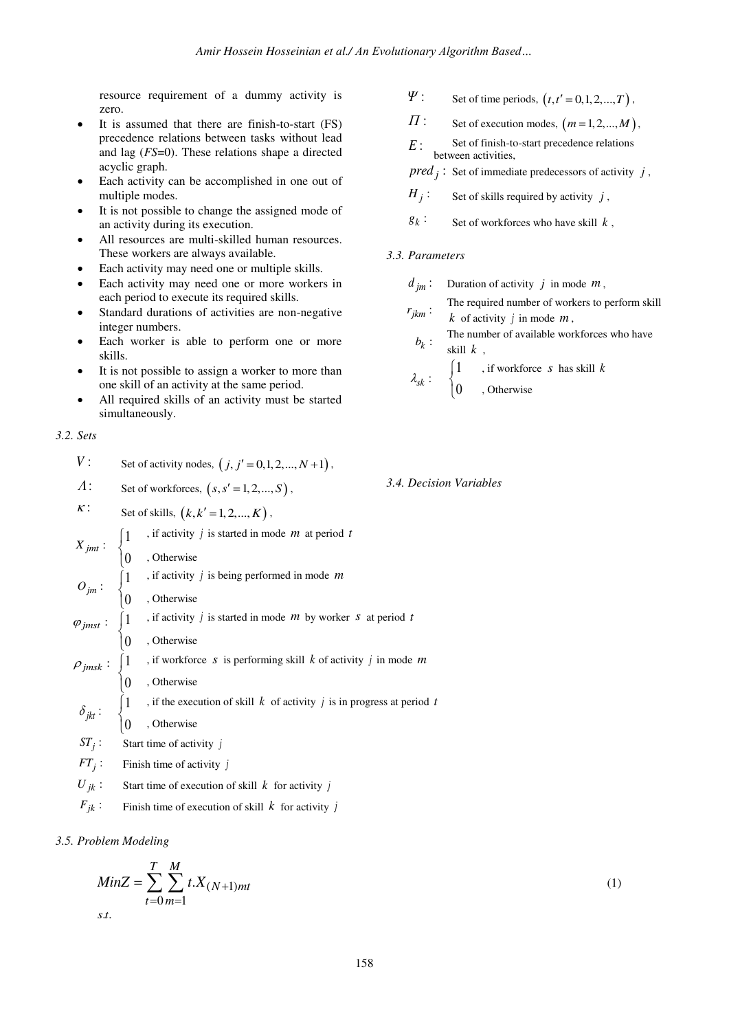resource requirement of a dummy activity is zero.

- It is assumed that there are finish-to-start (FS) precedence relations between tasks without lead and lag (*FS*=0). These relations shape a directed acyclic graph.
- Each activity can be accomplished in one out of multiple modes.
- It is not possible to change the assigned mode of an activity during its execution.
- All resources are multi-skilled human resources. These workers are always available.
- Each activity may need one or multiple skills.
- Each activity may need one or more workers in each period to execute its required skills.
- Standard durations of activities are non-negative integer numbers.
- Each worker is able to perform one or more skills.
- It is not possible to assign a worker to more than one skill of an activity at the same period.
- All required skills of an activity must be started simultaneously.

```
3.2. Sets
```

|                                                      | V:          |  | Set of activity nodes, $(j, j' = 0, 1, 2, , N + 1)$ ,                                                                                                                                                                                                                                                                                                                                                                                                                                                                                                                                                    |            |  |  |
|------------------------------------------------------|-------------|--|----------------------------------------------------------------------------------------------------------------------------------------------------------------------------------------------------------------------------------------------------------------------------------------------------------------------------------------------------------------------------------------------------------------------------------------------------------------------------------------------------------------------------------------------------------------------------------------------------------|------------|--|--|
|                                                      | $\Lambda$ : |  | Set of workforces, $(s, s' = 1, 2, , S)$ ,                                                                                                                                                                                                                                                                                                                                                                                                                                                                                                                                                               | 3.4. Decis |  |  |
| $\kappa$ :<br>Set of skills, $(k, k' = 1, 2, , K)$ , |             |  |                                                                                                                                                                                                                                                                                                                                                                                                                                                                                                                                                                                                          |            |  |  |
|                                                      |             |  | $X_{jmt}: \begin{cases} 1 & \text{, if activity } j \text{ is started in mode } m \text{ at period } t \\ 0 & \text{, Otherwise} \end{cases}$<br>$O_{jm}: \begin{cases} 1 & \text{, if activity } j \text{ is being performed in mode } m \\ 0 & \text{, Otherwise} \end{cases}$<br>$\varphi_{jmt}: \begin{cases} 1 & \text{, if activity } j \text{ is started in mode } m \text{ by worker } s \text{ at period } t \\ 0 & \text{, Otherwise} \end{cases}$<br>$\rho_{jmsk}: \begin{cases} 1 & \text{, if working } s \text{ is performed still } k \text{ of activity } j \text{ in mode } m \\ 0 & \$ |            |  |  |
|                                                      |             |  |                                                                                                                                                                                                                                                                                                                                                                                                                                                                                                                                                                                                          |            |  |  |
|                                                      |             |  |                                                                                                                                                                                                                                                                                                                                                                                                                                                                                                                                                                                                          |            |  |  |
|                                                      |             |  |                                                                                                                                                                                                                                                                                                                                                                                                                                                                                                                                                                                                          |            |  |  |
|                                                      |             |  |                                                                                                                                                                                                                                                                                                                                                                                                                                                                                                                                                                                                          |            |  |  |
|                                                      |             |  |                                                                                                                                                                                                                                                                                                                                                                                                                                                                                                                                                                                                          |            |  |  |
|                                                      |             |  |                                                                                                                                                                                                                                                                                                                                                                                                                                                                                                                                                                                                          |            |  |  |
|                                                      |             |  |                                                                                                                                                                                                                                                                                                                                                                                                                                                                                                                                                                                                          |            |  |  |
|                                                      |             |  |                                                                                                                                                                                                                                                                                                                                                                                                                                                                                                                                                                                                          |            |  |  |
|                                                      |             |  |                                                                                                                                                                                                                                                                                                                                                                                                                                                                                                                                                                                                          |            |  |  |
|                                                      |             |  | $ST_j$ : Start time of activity j                                                                                                                                                                                                                                                                                                                                                                                                                                                                                                                                                                        |            |  |  |
|                                                      |             |  | $FT_i$ : Finish time of activity j                                                                                                                                                                                                                                                                                                                                                                                                                                                                                                                                                                       |            |  |  |
|                                                      | $U_{ik}$ :  |  | Start time of execution of skill $k$ for activity j                                                                                                                                                                                                                                                                                                                                                                                                                                                                                                                                                      |            |  |  |
|                                                      |             |  |                                                                                                                                                                                                                                                                                                                                                                                                                                                                                                                                                                                                          |            |  |  |

 $F_{jk}$ : Finish time of execution of skill *k* for activity *j* 

## *3.5. Problem Modeling*

$$
MinZ = \sum_{t=0}^{T} \sum_{m=1}^{M} t.X_{(N+1)mt}
$$
\n(1)

$$
\Psi
$$
: Set of time periods,  $(t, t' = 0, 1, 2, ..., T)$ ,

 $\Pi$ : Set of execution modes,  $(m=1,2,...,M)$ ,

*E* : Set of finish-to-start precedence relations between activities,

 $pred_j$ : Set of immediate predecessors of activity *j*,

 $H_i$ : Set of skills required by activity *j*,

 $g_k$ : Set of workforces who have skill  $k$ ,

## *3.3. Parameters*

|             | $d_{im}$ : Duration of activity j in mode m,                                       |  |  |  |  |  |  |  |
|-------------|------------------------------------------------------------------------------------|--|--|--|--|--|--|--|
| $r_{jkm}$ : | The required number of workers to perform skill<br>k of activity $j$ in mode $m$ , |  |  |  |  |  |  |  |
| $b_k$ :     | The number of available workforces who have<br>skill $k$ ,                         |  |  |  |  |  |  |  |
|             | $\lambda_{sk}$ : $\begin{cases} 1 \\$ , if workforce <i>s</i> has skill <i>k</i>   |  |  |  |  |  |  |  |

 $\big\{0$  $\overline{\mathcal{L}}$ , Otherwise

*3.4. Decision Variables*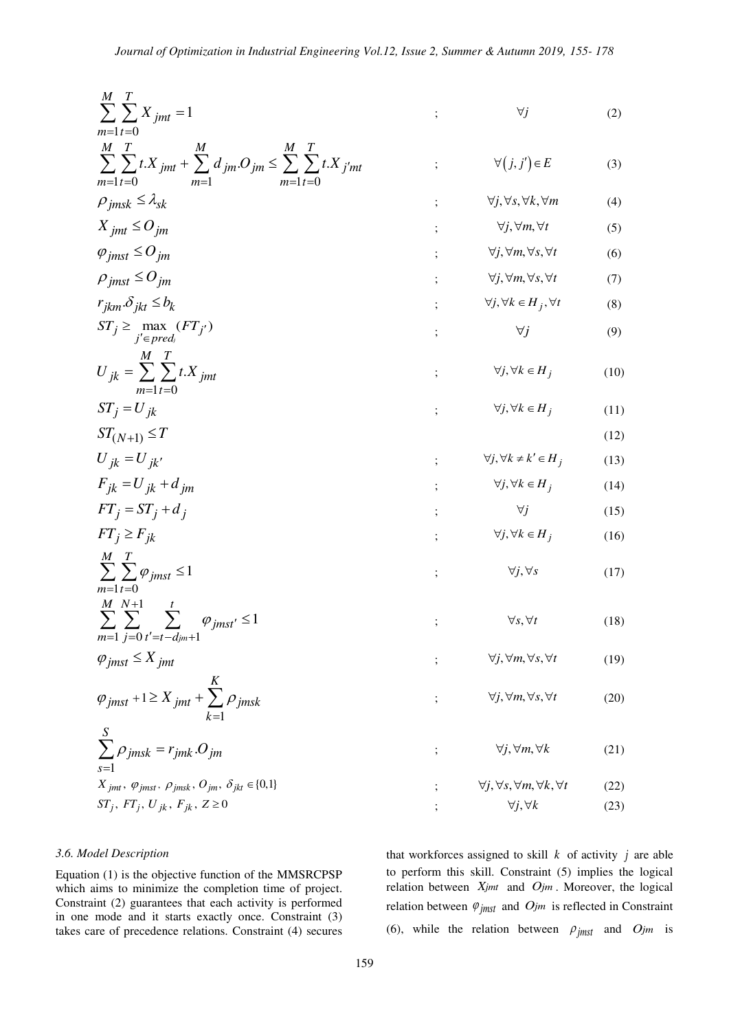$$
\sum_{m=1}^{M} \sum_{i=0}^{T} X_{jmt} = 1
$$
\n
$$
\sum_{m=1}^{M} \sum_{i=0}^{T} t X_{jmt} + \sum_{m=1}^{M} d_{jm} O_{jm} \leq \sum_{m=1}^{M} \sum_{i=0}^{T} t X_{j'mt}
$$
\n
$$
X_{jmt} \leq O_{jm}
$$
\n
$$
X_{jmt} \leq O_{jm}
$$
\n
$$
Y_{jmt} \leq O_{jm}
$$
\n
$$
Y_{jmt} \leq O_{jm}
$$
\n
$$
Y_{jmt} \leq O_{jm}
$$
\n
$$
Y_{jtm} \leq O_{jm}
$$
\n
$$
Y_{jtm} \leq O_{jm}
$$
\n
$$
Y_{jtm} \leq O_{jm}
$$
\n
$$
Y_{jtm} \leq O_{jm}
$$
\n
$$
Y_{jtm} \geq O_{jm}
$$
\n
$$
Y_{jtm} \geq O_{jm}
$$
\n
$$
Y_{jtm} \geq O_{jm}
$$
\n
$$
Y_{jtm} \geq O_{jm}
$$
\n
$$
Y_{jtm} \geq O_{jm}
$$
\n
$$
Y_{jtm} \geq O_{jm}
$$
\n
$$
Y_{jtm} \geq O_{jm}
$$
\n
$$
Y_{jtm} \geq O_{jm}
$$
\n
$$
Y_{jtm} \geq O_{jm}
$$
\n
$$
Y_{jtm} \geq O_{jm}
$$
\n
$$
Y_{jtm} \geq O_{jm}
$$
\n
$$
Y_{jtm} \geq O_{jm}
$$
\n
$$
Y_{jtm} \geq O_{jm}
$$
\n
$$
Y_{jtm} \geq O_{jm}
$$
\n
$$
Y_{jtm} \geq O_{jm}
$$
\n
$$
Y_{jtm} \geq O_{jm}
$$
\n
$$
Y_{jtm} \geq O_{jm}
$$
\n
$$
Y_{jtm} \geq O_{jm}
$$
\n
$$
Y_{jtm} \geq O_{jm}
$$
\n
$$
Y_{jtm} \geq O_{jm}
$$
\n
$$
Y_{jtm} \geq O_{jm}
$$
\n
$$
Y_{jtm} \geq O
$$

## *3.6. Model Description*

Equation (1) is the objective function of the MMSRCPSP which aims to minimize the completion time of project. Constraint (2) guarantees that each activity is performed in one mode and it starts exactly once. Constraint (3) takes care of precedence relations. Constraint (4) secures

that workforces assigned to skill  $k$  of activity  $j$  are able to perform this skill. Constraint (5) implies the logical relation between *Xjmt* and *Ojm* . Moreover, the logical relation between  $\varphi_{j m s t}$  and  $O_j m$  is reflected in Constraint (6), while the relation between  $\rho_{jmst}$  and  $O_{jmst}$  is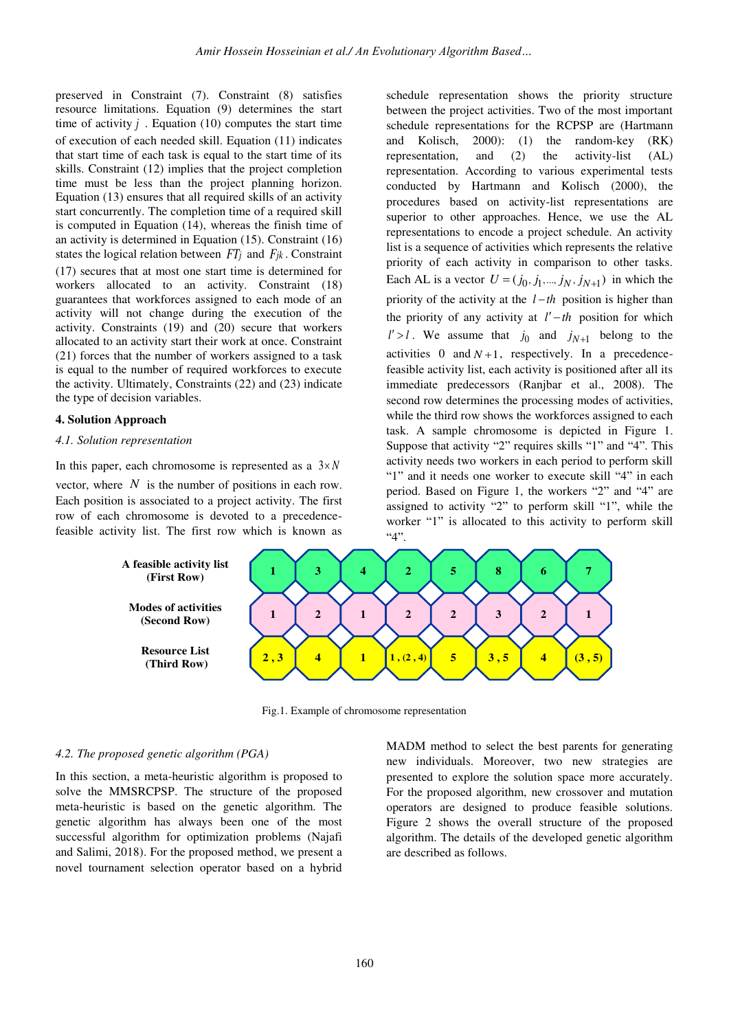preserved in Constraint (7). Constraint (8) satisfies resource limitations. Equation (9) determines the start time of activity  $j$ . Equation (10) computes the start time of execution of each needed skill. Equation (11) indicates that start time of each task is equal to the start time of its skills. Constraint (12) implies that the project completion time must be less than the project planning horizon. Equation (13) ensures that all required skills of an activity start concurrently. The completion time of a required skill is computed in Equation (14), whereas the finish time of an activity is determined in Equation (15). Constraint (16) states the logical relation between *FTj* and *Fjk* . Constraint (17) secures that at most one start time is determined for workers allocated to an activity. Constraint (18) guarantees that workforces assigned to each mode of an activity will not change during the execution of the activity. Constraints (19) and (20) secure that workers allocated to an activity start their work at once. Constraint (21) forces that the number of workers assigned to a task is equal to the number of required workforces to execute the activity. Ultimately, Constraints (22) and (23) indicate the type of decision variables.

## **4. Solution Approach**

#### *4.1. Solution representation*

In this paper, each chromosome is represented as a  $3 \times N$ vector, where  $N$  is the number of positions in each row. Each position is associated to a project activity. The first row of each chromosome is devoted to a precedencefeasible activity list. The first row which is known as

schedule representation shows the priority structure between the project activities. Two of the most important schedule representations for the RCPSP are (Hartmann and Kolisch, 2000): (1) the random-key (RK) representation, and (2) the activity-list (AL) representation. According to various experimental tests conducted by Hartmann and Kolisch (2000), the procedures based on activity-list representations are superior to other approaches. Hence, we use the AL representations to encode a project schedule. An activity list is a sequence of activities which represents the relative priority of each activity in comparison to other tasks. Each AL is a vector  $U = (j_0, j_1, ..., j_N, j_{N+1})$  in which the priority of the activity at the  $l-th$  position is higher than the priority of any activity at  $l'-th$  position for which  $l' > l$ . We assume that  $j_0$  and  $j_{N+1}$  belong to the activities 0 and  $N+1$ , respectively. In a precedencefeasible activity list, each activity is positioned after all its immediate predecessors (Ranjbar et al., 2008). The second row determines the processing modes of activities, while the third row shows the workforces assigned to each task. A sample chromosome is depicted in Figure 1. Suppose that activity "2" requires skills "1" and "4". This activity needs two workers in each period to perform skill "1" and it needs one worker to execute skill "4" in each period. Based on Figure 1, the workers "2" and "4" are assigned to activity "2" to perform skill "1", while the worker "1" is allocated to this activity to perform skill  $4"$ .



Fig.1. Example of chromosome representation

#### *4.2. The proposed genetic algorithm (PGA)*

In this section, a meta-heuristic algorithm is proposed to solve the MMSRCPSP. The structure of the proposed meta-heuristic is based on the genetic algorithm. The genetic algorithm has always been one of the most successful algorithm for optimization problems (Najafi and Salimi, 2018). For the proposed method, we present a novel tournament selection operator based on a hybrid

MADM method to select the best parents for generating new individuals. Moreover, two new strategies are presented to explore the solution space more accurately. For the proposed algorithm, new crossover and mutation operators are designed to produce feasible solutions. Figure 2 shows the overall structure of the proposed algorithm. The details of the developed genetic algorithm are described as follows.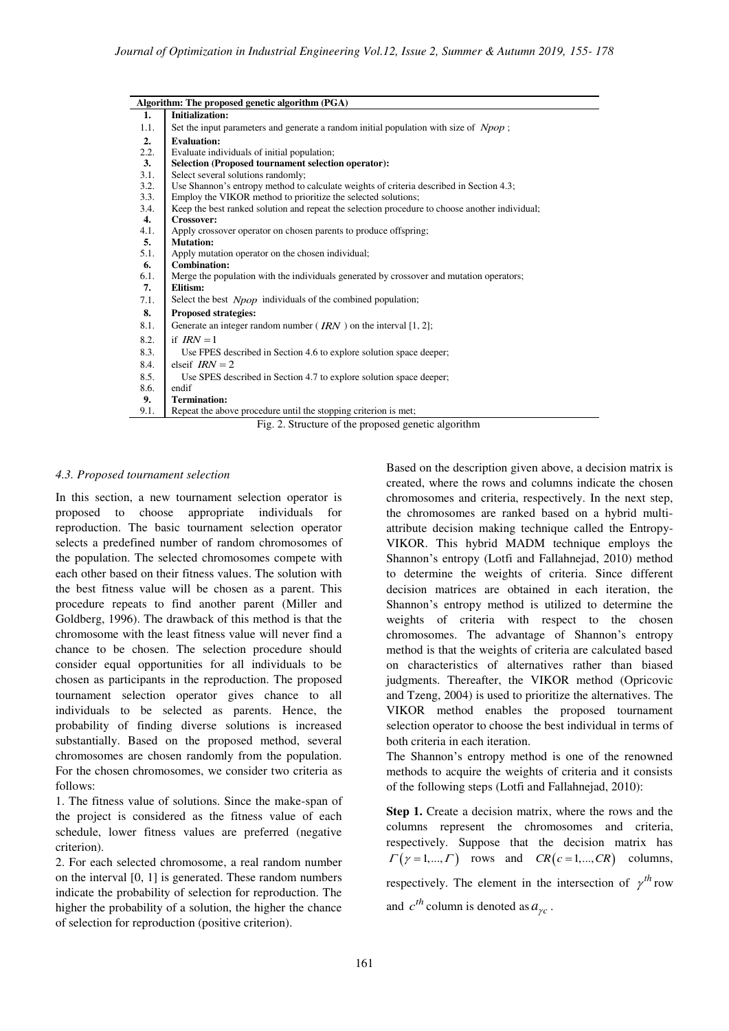|      | Algorithm: The proposed genetic algorithm (PGA)                                                |  |  |  |  |  |  |
|------|------------------------------------------------------------------------------------------------|--|--|--|--|--|--|
| 1.   | <b>Initialization:</b>                                                                         |  |  |  |  |  |  |
| 1.1. | Set the input parameters and generate a random initial population with size of Npop;           |  |  |  |  |  |  |
| 2.   | <b>Evaluation:</b>                                                                             |  |  |  |  |  |  |
| 2.2. | Evaluate individuals of initial population;                                                    |  |  |  |  |  |  |
| 3.   | <b>Selection (Proposed tournament selection operator):</b>                                     |  |  |  |  |  |  |
| 3.1. | Select several solutions randomly;                                                             |  |  |  |  |  |  |
| 3.2. | Use Shannon's entropy method to calculate weights of criteria described in Section 4.3;        |  |  |  |  |  |  |
| 3.3. | Employ the VIKOR method to prioritize the selected solutions;                                  |  |  |  |  |  |  |
| 3.4. | Keep the best ranked solution and repeat the selection procedure to choose another individual; |  |  |  |  |  |  |
| 4.   | Crossover:                                                                                     |  |  |  |  |  |  |
| 4.1. | Apply crossover operator on chosen parents to produce offspring;                               |  |  |  |  |  |  |
| 5.   | <b>Mutation:</b>                                                                               |  |  |  |  |  |  |
| 5.1. | Apply mutation operator on the chosen individual;                                              |  |  |  |  |  |  |
| 6.   | Combination:                                                                                   |  |  |  |  |  |  |
| 6.1. | Merge the population with the individuals generated by crossover and mutation operators;       |  |  |  |  |  |  |
| 7.   | Elitism:                                                                                       |  |  |  |  |  |  |
| 7.1. | Select the best <i>Npop</i> individuals of the combined population;                            |  |  |  |  |  |  |
| 8.   | <b>Proposed strategies:</b>                                                                    |  |  |  |  |  |  |
| 8.1. | Generate an integer random number ( $IRN$ ) on the interval [1, 2];                            |  |  |  |  |  |  |
| 8.2. | if $IRN = 1$                                                                                   |  |  |  |  |  |  |
| 8.3. | Use FPES described in Section 4.6 to explore solution space deeper;                            |  |  |  |  |  |  |
| 8.4. | elseif $IRN = 2$                                                                               |  |  |  |  |  |  |
| 8.5. | Use SPES described in Section 4.7 to explore solution space deeper;                            |  |  |  |  |  |  |
| 8.6. | endif                                                                                          |  |  |  |  |  |  |
| 9.   | <b>Termination:</b>                                                                            |  |  |  |  |  |  |
| 9.1. | Repeat the above procedure until the stopping criterion is met;                                |  |  |  |  |  |  |
|      | Fig. 2. Structure of the proposed genetic algorithm                                            |  |  |  |  |  |  |

## *4.3. Proposed tournament selection*

In this section, a new tournament selection operator is proposed to choose appropriate individuals for reproduction. The basic tournament selection operator selects a predefined number of random chromosomes of the population. The selected chromosomes compete with each other based on their fitness values. The solution with the best fitness value will be chosen as a parent. This procedure repeats to find another parent (Miller and Goldberg, 1996). The drawback of this method is that the chromosome with the least fitness value will never find a chance to be chosen. The selection procedure should consider equal opportunities for all individuals to be chosen as participants in the reproduction. The proposed tournament selection operator gives chance to all individuals to be selected as parents. Hence, the probability of finding diverse solutions is increased substantially. Based on the proposed method, several chromosomes are chosen randomly from the population. For the chosen chromosomes, we consider two criteria as follows:

1. The fitness value of solutions. Since the make-span of the project is considered as the fitness value of each schedule, lower fitness values are preferred (negative criterion).

2. For each selected chromosome, a real random number on the interval [0, 1] is generated. These random numbers indicate the probability of selection for reproduction. The higher the probability of a solution, the higher the chance of selection for reproduction (positive criterion).

Based on the description given above, a decision matrix is created, where the rows and columns indicate the chosen chromosomes and criteria, respectively. In the next step, the chromosomes are ranked based on a hybrid multiattribute decision making technique called the Entropy-VIKOR. This hybrid MADM technique employs the Shannon's entropy (Lotfi and Fallahnejad, 2010) method to determine the weights of criteria. Since different decision matrices are obtained in each iteration, the Shannon's entropy method is utilized to determine the weights of criteria with respect to the chosen chromosomes. The advantage of Shannon's entropy method is that the weights of criteria are calculated based on characteristics of alternatives rather than biased judgments. Thereafter, the VIKOR method (Opricovic and Tzeng, 2004) is used to prioritize the alternatives. The VIKOR method enables the proposed tournament selection operator to choose the best individual in terms of both criteria in each iteration.

The Shannon's entropy method is one of the renowned methods to acquire the weights of criteria and it consists of the following steps (Lotfi and Fallahnejad, 2010):

**Step 1.** Create a decision matrix, where the rows and the columns represent the chromosomes and criteria, respectively. Suppose that the decision matrix has  $\Gamma(\gamma=1,..., \Gamma)$  rows and  $CR(c=1,..., CR)$  columns, respectively. The element in the intersection of  $\gamma^{th}$  row and  $c^{th}$  column is denoted as  $a_{\gamma c}$ .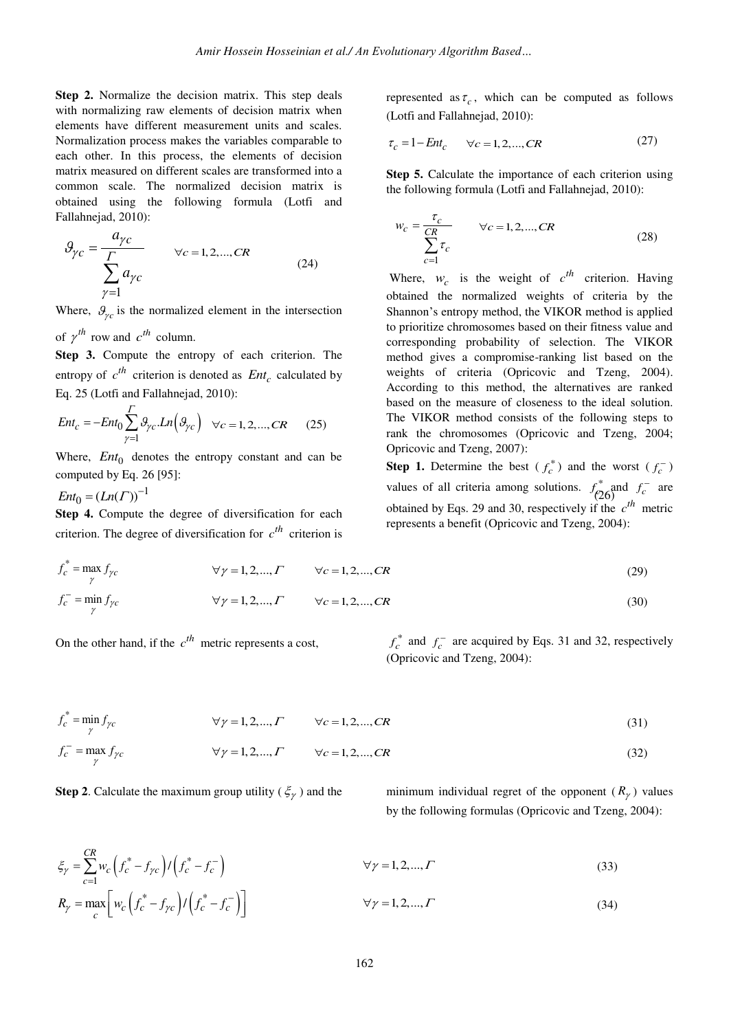**Step 2.** Normalize the decision matrix. This step deals with normalizing raw elements of decision matrix when elements have different measurement units and scales. Normalization process makes the variables comparable to each other. In this process, the elements of decision matrix measured on different scales are transformed into a common scale. The normalized decision matrix is obtained using the following formula (Lotfi and Fallahnejad, 2010):

$$
\mathcal{G}_{\gamma c} = \frac{a_{\gamma c}}{\sum_{\gamma=1}^{F} a_{\gamma c}} \qquad \forall c = 1, 2, ..., CR
$$
\n(24)

Where,  $\theta_{\gamma c}$  is the normalized element in the intersection

of  $\gamma^{th}$  row and  $c^{th}$  column.

**Step 3.** Compute the entropy of each criterion. The entropy of  $c^{th}$  criterion is denoted as  $Ent_c$  calculated by Eq. 25 (Lotfi and Fallahnejad, 2010):

$$
Ent_c = -Ent_0 \sum_{\gamma=1}^{T} \vartheta_{\gamma c} . Ln(\vartheta_{\gamma c}) \quad \forall c = 1, 2, ..., CR \qquad (25)
$$

Where,  $Ent_0$  denotes the entropy constant and can be computed by Eq. 26 [95]:

 $Ent_0 = (Ln(\Gamma))^{-1}$ 

*CR*

**Step 4.** Compute the degree of diversification for each criterion. The degree of diversification for  $c^{th}$  criterion is represented as  $\tau_c$ , which can be computed as follows (Lotfi and Fallahnejad, 2010):

$$
\tau_c = 1 - Ent_c \qquad \forall c = 1, 2, ..., CR \tag{27}
$$

**Step 5.** Calculate the importance of each criterion using the following formula (Lotfi and Fallahnejad, 2010):

$$
w_c = \frac{\tau_c}{\sum_{c=1}^{CR} \tau_c} \qquad \forall c = 1, 2, ..., CR
$$
 (28)

Where,  $w_c$  is the weight of  $c^{th}$  criterion. Having obtained the normalized weights of criteria by the Shannon's entropy method, the VIKOR method is applied to prioritize chromosomes based on their fitness value and corresponding probability of selection. The VIKOR method gives a compromise-ranking list based on the weights of criteria (Opricovic and Tzeng, 2004). According to this method, the alternatives are ranked based on the measure of closeness to the ideal solution. The VIKOR method consists of the following steps to rank the chromosomes (Opricovic and Tzeng, 2004; Opricovic and Tzeng, 2007):

 $I = (Ln(T))^{-1}$  values of all criteria among solutions.  $f_{(26)}^*$  and  $f_c^-$  are **Step 1.** Determine the best  $(f_c^*)$  and the worst  $(f_c^-)$ obtained by Eqs. 29 and 30, respectively if the  $c^{th}$  metric represents a benefit (Opricovic and Tzeng, 2004):

$$
f_c^* = \max_{\gamma} f_{\gamma c} \qquad \forall \gamma = 1, 2, ..., \Gamma \qquad \forall c = 1, 2, ..., CR
$$
 (29)

$$
f_c^- = \min_{\gamma} f_{\gamma c} \qquad \forall \gamma = 1, 2, ..., \Gamma \qquad \forall c = 1, 2, ..., CR
$$
 (30)

On the other hand, if the  $c^{th}$  metric represents a cost,  $f_c^*$ 

 $f_c^*$  and  $f_c^-$  are acquired by Eqs. 31 and 32, respectively (Opricovic and Tzeng, 2004):

$$
f_c^* = \min_{\gamma} f_{\gamma c} \qquad \forall \gamma = 1, 2, ..., \Gamma \qquad \forall c = 1, 2, ..., CR \qquad (31)
$$

$$
f_c^- = \max_{\gamma} f_{\gamma c} \qquad \forall \gamma = 1, 2, ..., \Gamma \qquad \forall c = 1, 2, ..., CR
$$
 (32)

**Step 2**. Calculate the maximum group utility ( $\zeta$ ) and the

 $\xi_{\gamma}$ ) and the minimum individual regret of the opponent  $(R_{\gamma})$  values by the following formulas (Opricovic and Tzeng, 2004):

$$
\xi_{\gamma} = \sum_{c=1}^{K} w_c \left( f_c^* - f_{\gamma c} \right) / \left( f_c^* - f_c^- \right) \qquad \forall \gamma = 1, 2, ..., \Gamma
$$
\n
$$
R_{\gamma} = \max_{c} \left[ w_c \left( f_c^* - f_{\gamma c} \right) / \left( f_c^* - f_c^- \right) \right] \qquad \forall \gamma = 1, 2, ..., \Gamma
$$
\n(33)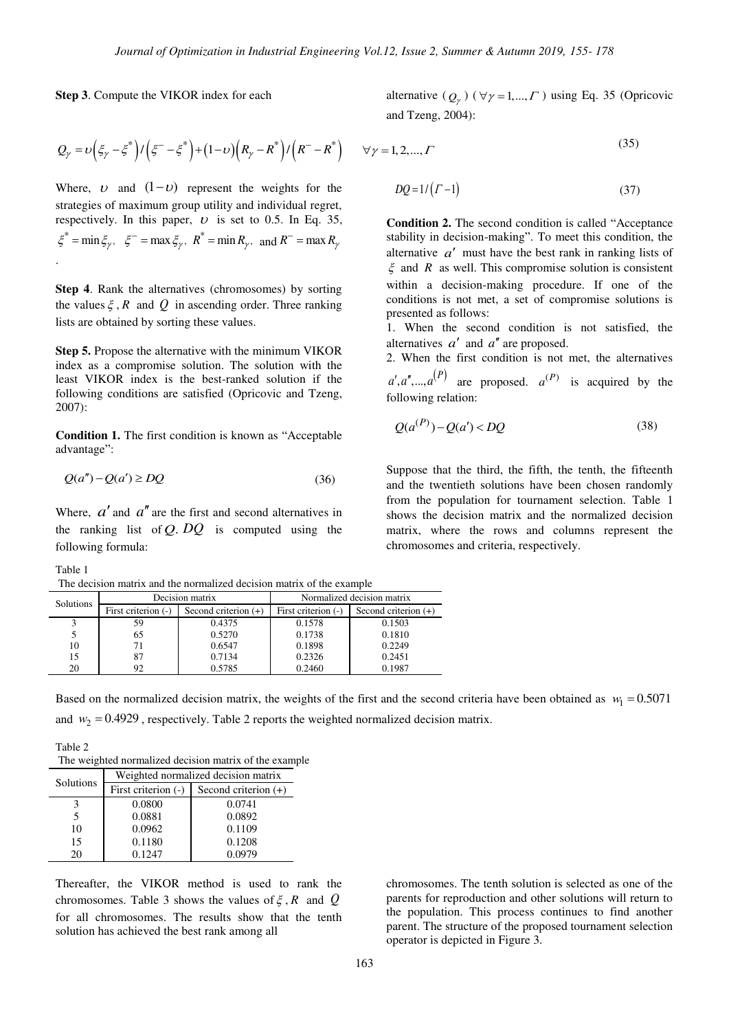**Step 3**. Compute the VIKOR index for each

alternative  $(Q_{\gamma})$  ( $\forall \gamma = 1,..., \Gamma$ ) using Eq. 35 (Opricovic and Tzeng, 2004):

$$
Q_{\gamma} = \nu \left(\xi_{\gamma} - \xi^* \right) / \left(\xi^- - \xi^* \right) + (1 - \nu) \left(R_{\gamma} - R^* \right) / \left(R^- - R^* \right)
$$

Where, v and  $(1 - v)$  represent the weights for the strategies of maximum group utility and individual regret, respectively. In this paper,  $U$  is set to 0.5. In Eq. 35,  $\xi^* = \min \xi_\gamma, \quad \xi^- = \max \xi_\gamma, \quad R^* = \min R_\gamma, \text{ and } R^- = \max R_\gamma$ .

**Step 4**. Rank the alternatives (chromosomes) by sorting the values  $\xi$ ,  $R$  and  $Q$  in ascending order. Three ranking lists are obtained by sorting these values.

**Step 5.** Propose the alternative with the minimum VIKOR index as a compromise solution. The solution with the least VIKOR index is the best-ranked solution if the following conditions are satisfied (Opricovic and Tzeng, 2007):

**Condition 1.** The first condition is known as "Acceptable advantage":

$$
Q(a'') - Q(a') \ge DQ \tag{36}
$$

Where,  $a'$  and  $a''$  are the first and second alternatives in the ranking list of  $Q$ .  $DQ$  is computed using the following formula:

Table 1

The decision matrix and the normalized decision matrix of the example

| Solutions |                     | Decision matrix        | Normalized decision matrix |                        |  |  |
|-----------|---------------------|------------------------|----------------------------|------------------------|--|--|
|           | First criterion (-) | Second criterion $(+)$ | First criterion (-)        | Second criterion $(+)$ |  |  |
|           | 59                  | 0.4375                 | 0.1578                     | 0.1503                 |  |  |
|           | 65                  | 0.5270                 | 0.1738                     | 0.1810                 |  |  |
| 10        | 71                  | 0.6547                 | 0.1898                     | 0.2249                 |  |  |
| 15        | 87                  | 0.7134                 | 0.2326                     | 0.2451                 |  |  |
| 20        | 92                  | 0.5785                 | 0.2460                     | 0.1987                 |  |  |

Based on the normalized decision matrix, the weights of the first and the second criteria have been obtained as  $w_1 = 0.5071$ and  $w_2 = 0.4929$ , respectively. Table 2 reports the weighted normalized decision matrix.

Table 2 The weighted normalized decision matrix of the example

| Solutions | Weighted normalized decision matrix |                        |  |  |  |  |  |
|-----------|-------------------------------------|------------------------|--|--|--|--|--|
|           | First criterion (-)                 | Second criterion $(+)$ |  |  |  |  |  |
|           | 0.0800                              | 0.0741                 |  |  |  |  |  |
| 5         | 0.0881                              | 0.0892                 |  |  |  |  |  |
| 10        | 0.0962                              | 0.1109                 |  |  |  |  |  |
| 15        | 0.1180                              | 0.1208                 |  |  |  |  |  |
| 20        | 0.1247                              | 0.0979                 |  |  |  |  |  |

Thereafter, the VIKOR method is used to rank the chromosomes. Table 3 shows the values of  $\xi$ ,  $R$  and  $Q$ for all chromosomes. The results show that the tenth solution has achieved the best rank among all

chromosomes. The tenth solution is selected as one of the parents for reproduction and other solutions will return to the population. This process continues to find another parent. The structure of the proposed tournament selection operator is depicted in Figure 3.

163

 $\forall \gamma = 1, 2, ..., \Gamma$ (35)

$$
DQ = 1/\left(\Gamma - 1\right) \tag{37}
$$

**Condition 2.** The second condition is called "Acceptance stability in decision-making". To meet this condition, the alternative  $a'$  must have the best rank in ranking lists of  $\zeta$  and *R* as well. This compromise solution is consistent within a decision-making procedure. If one of the conditions is not met, a set of compromise solutions is presented as follows:

1. When the second condition is not satisfied, the alternatives  $a'$  and  $a''$  are proposed.

2. When the first condition is not met, the alternatives  $a', a'',..., a^{(P)}$  are proposed.  $a^{(P)}$  is acquired by the following relation:

$$
Q(a^{(P)}) - Q(a') < DQ \tag{38}
$$

Suppose that the third, the fifth, the tenth, the fifteenth and the twentieth solutions have been chosen randomly from the population for tournament selection. Table 1 shows the decision matrix and the normalized decision matrix, where the rows and columns represent the chromosomes and criteria, respectively.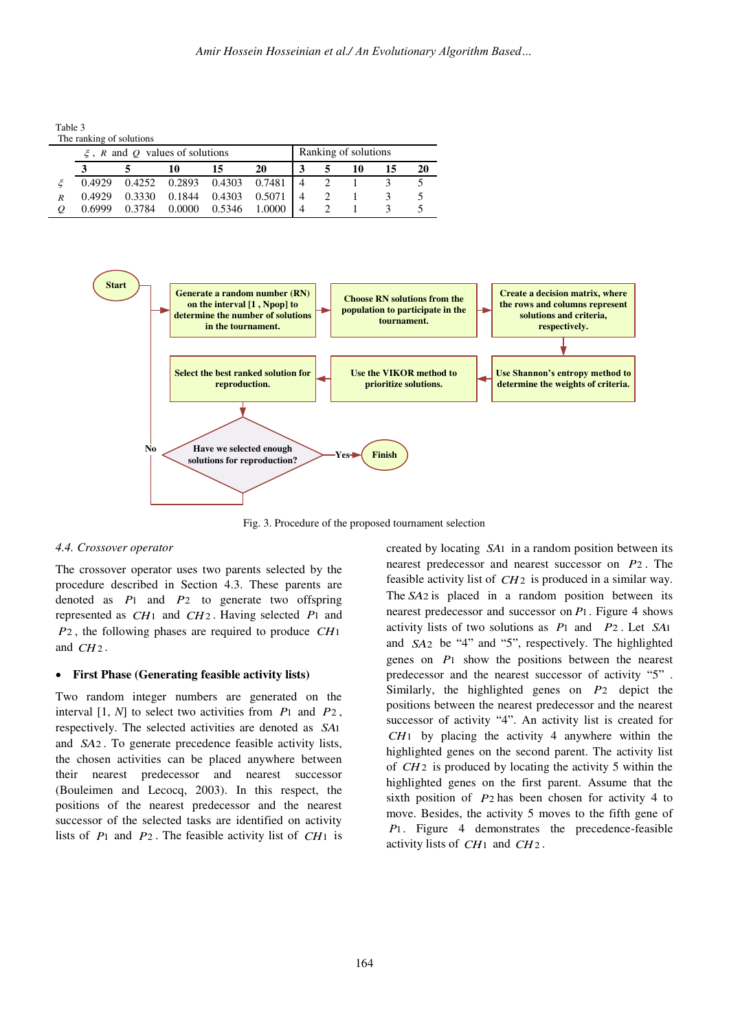Table 3

|                                       | The ranking of solutions |        |        |        |               |  |                      |    |  |    |
|---------------------------------------|--------------------------|--------|--------|--------|---------------|--|----------------------|----|--|----|
| $\zeta$ , R and Q values of solutions |                          |        |        |        |               |  | Ranking of solutions |    |  |    |
|                                       |                          |        | 10     | 15     | 20            |  |                      | 10 |  | 20 |
|                                       | 0.4929                   | 0.4252 | 0.2893 |        | 0.4303 0.7481 |  |                      |    |  |    |
| R                                     | 0.4929                   | 0.3330 | 0.1844 | 0.4303 | 0.5071        |  |                      |    |  |    |
|                                       | 0.6999                   | 0.3784 | 0.0000 | 0.5346 | 1.0000        |  |                      |    |  |    |



Fig. 3. Procedure of the proposed tournament selection

#### *4.4. Crossover operator*

The crossover operator uses two parents selected by the procedure described in Section 4.3. These parents are denoted as *P*1 and *P*2 to generate two offspring represented as *CH*1 and *CH*2 . Having selected *P*1 and *P*2 , the following phases are required to produce *CH*1 and *CH*2 .

#### **First Phase (Generating feasible activity lists)**

Two random integer numbers are generated on the interval [1, *N*] to select two activities from *P*1 and *P*2 , respectively. The selected activities are denoted as *SA*1 and *SA*2 . To generate precedence feasible activity lists, the chosen activities can be placed anywhere between their nearest predecessor and nearest successor (Bouleimen and Lecocq, 2003). In this respect, the positions of the nearest predecessor and the nearest successor of the selected tasks are identified on activity lists of *P*1 and *P*2 . The feasible activity list of *CH*1 is created by locating *SA*1 in a random position between its nearest predecessor and nearest successor on *P*2 . The feasible activity list of *CH*2 is produced in a similar way. The *SA*2 is placed in a random position between its nearest predecessor and successor on *P*1 . Figure 4 shows activity lists of two solutions as *P*1 and *P*2 . Let *SA*1 and *SA*2 be "4" and "5", respectively. The highlighted genes on *P*1 show the positions between the nearest predecessor and the nearest successor of activity "5" . Similarly, the highlighted genes on *P*2 depict the positions between the nearest predecessor and the nearest successor of activity "4". An activity list is created for *CH*1 by placing the activity 4 anywhere within the highlighted genes on the second parent. The activity list of *CH*2 is produced by locating the activity 5 within the highlighted genes on the first parent. Assume that the sixth position of *P*2 has been chosen for activity 4 to move. Besides, the activity 5 moves to the fifth gene of *P*1. Figure 4 demonstrates the precedence-feasible activity lists of *CH*1 and *CH*2 .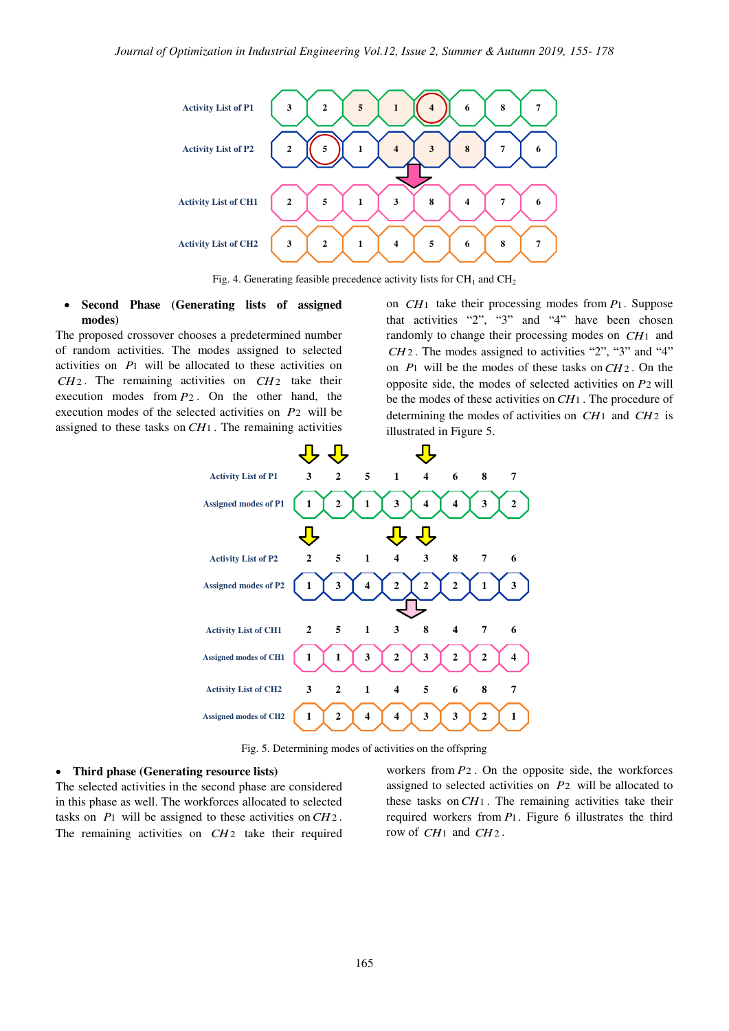

Fig. 4. Generating feasible precedence activity lists for  $\text{CH}_1$  and  $\text{CH}_2$ 

## **Second Phase (Generating lists of assigned modes)**

The proposed crossover chooses a predetermined number of random activities. The modes assigned to selected activities on *P*1 will be allocated to these activities on *CH*2 . The remaining activities on *CH*2 take their execution modes from *P*2 . On the other hand, the execution modes of the selected activities on *P*2 will be assigned to these tasks on *CH*1 . The remaining activities

on *CH*1 take their processing modes from *P*1 . Suppose that activities "2", "3" and "4" have been chosen randomly to change their processing modes on *CH*1 and *CH*2 . The modes assigned to activities "2", "3" and "4" on *P*1 will be the modes of these tasks on*CH*2 . On the opposite side, the modes of selected activities on *P*2 will be the modes of these activities on*CH*1 . The procedure of determining the modes of activities on *CH*1 and *CH*2 is illustrated in Figure 5.



Fig. 5. Determining modes of activities on the offspring

#### **Third phase (Generating resource lists)**

The selected activities in the second phase are considered in this phase as well. The workforces allocated to selected tasks on *P*1 will be assigned to these activities on*CH*2 . The remaining activities on *CH*2 take their required workers from *P*2 . On the opposite side, the workforces assigned to selected activities on *P*2 will be allocated to these tasks on*CH*1 . The remaining activities take their required workers from *P*1 . Figure 6 illustrates the third row of *CH*1 and *CH*2 .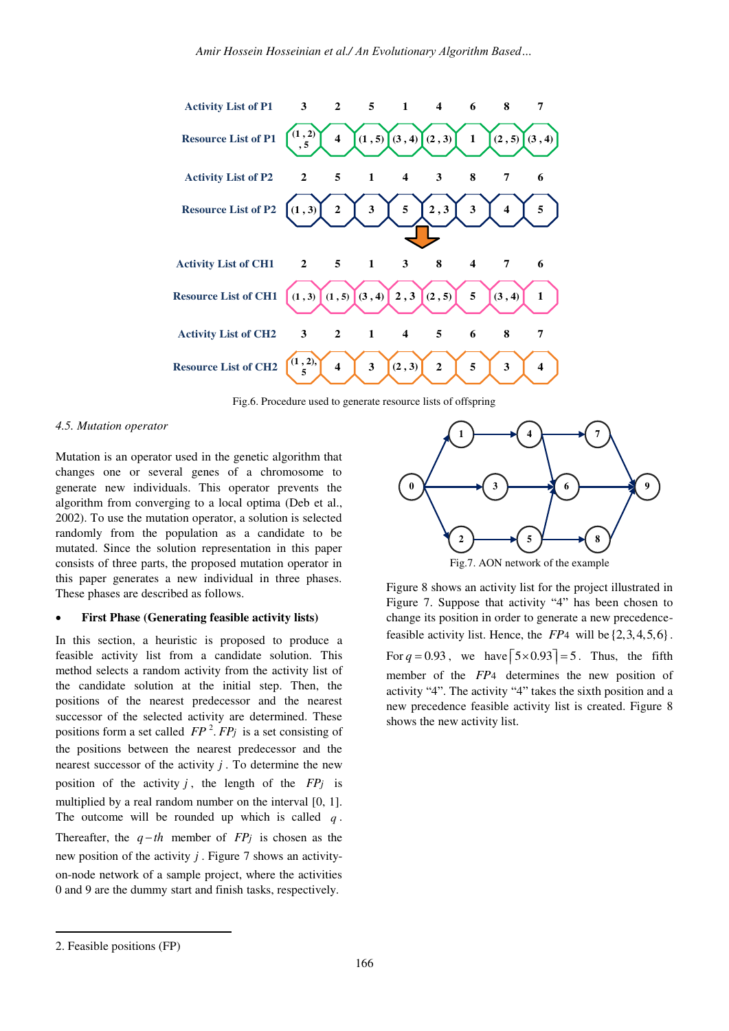

Fig.6. Procedure used to generate resource lists of offspring

#### *4.5. Mutation operator*

Mutation is an operator used in the genetic algorithm that changes one or several genes of a chromosome to generate new individuals. This operator prevents the algorithm from converging to a local optima (Deb et al., 2002). To use the mutation operator, a solution is selected randomly from the population as a candidate to be mutated. Since the solution representation in this paper consists of three parts, the proposed mutation operator in this paper generates a new individual in three phases. These phases are described as follows.

#### **First Phase (Generating feasible activity lists)**

In this section, a heuristic is proposed to produce a feasible activity list from a candidate solution. This method selects a random activity from the activity list of the candidate solution at the initial step. Then, the positions of the nearest predecessor and the nearest successor of the selected activity are determined. These positions form a set called  $FP<sup>2</sup>$ .  $FP<sub>j</sub>$  is a set consisting of the positions between the nearest predecessor and the nearest successor of the activity  $j$ . To determine the new position of the activity  $j$ , the length of the  $FPj$  is multiplied by a real random number on the interval [0, 1]. The outcome will be rounded up which is called *q* . Thereafter, the  $q-th$  member of  $FP_j$  is chosen as the new position of the activity *j* . Figure 7 shows an activityon-node network of a sample project, where the activities 0 and 9 are the dummy start and finish tasks, respectively.



Figure 8 shows an activity list for the project illustrated in Figure 7. Suppose that activity "4" has been chosen to change its position in order to generate a new precedencefeasible activity list. Hence, the  $FP4$  will be  $\{2,3,4,5,6\}$ . For  $q = 0.93$ , we have  $\lceil 5 \times 0.93 \rceil = 5$ . Thus, the fifth member of the *FP*4 determines the new position of activity "4". The activity "4" takes the sixth position and a new precedence feasible activity list is created. Figure 8 shows the new activity list.

<u>.</u>

<sup>2.</sup> Feasible positions (FP)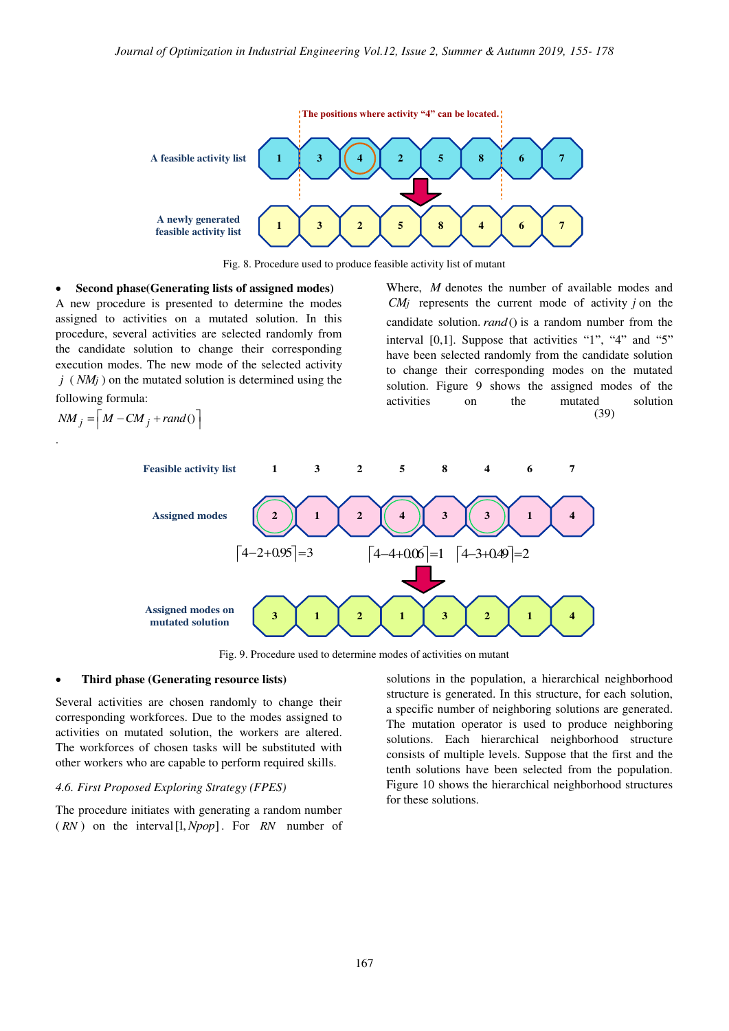

Fig. 8. Procedure used to produce feasible activity list of mutant

 **Second phase(Generating lists of assigned modes)** 

A new procedure is presented to determine the modes assigned to activities on a mutated solution. In this procedure, several activities are selected randomly from the candidate solution to change their corresponding execution modes. The new mode of the selected activity *j* ( *NMj* ) on the mutated solution is determined using the following formula:

$$
NM_j = \left\lceil M - CM_j + rand() \right\rceil
$$

.

(39) Where, *M* denotes the number of available modes and *CMj* represents the current mode of activity *j* on the candidate solution. *rand*() is a random number from the interval [0,1]. Suppose that activities "1", "4" and "5" have been selected randomly from the candidate solution to change their corresponding modes on the mutated solution. Figure 9 shows the assigned modes of the activities on the mutated solution



Fig. 9. Procedure used to determine modes of activities on mutant

#### **Third phase (Generating resource lists)**

Several activities are chosen randomly to change their corresponding workforces. Due to the modes assigned to activities on mutated solution, the workers are altered. The workforces of chosen tasks will be substituted with other workers who are capable to perform required skills.

## *4.6. First Proposed Exploring Strategy (FPES)*

The procedure initiates with generating a random number  $(RN)$  on the interval  $[1, Npop]$ . For  $RN$  number of solutions in the population, a hierarchical neighborhood structure is generated. In this structure, for each solution, a specific number of neighboring solutions are generated. The mutation operator is used to produce neighboring solutions. Each hierarchical neighborhood structure consists of multiple levels. Suppose that the first and the tenth solutions have been selected from the population. Figure 10 shows the hierarchical neighborhood structures for these solutions.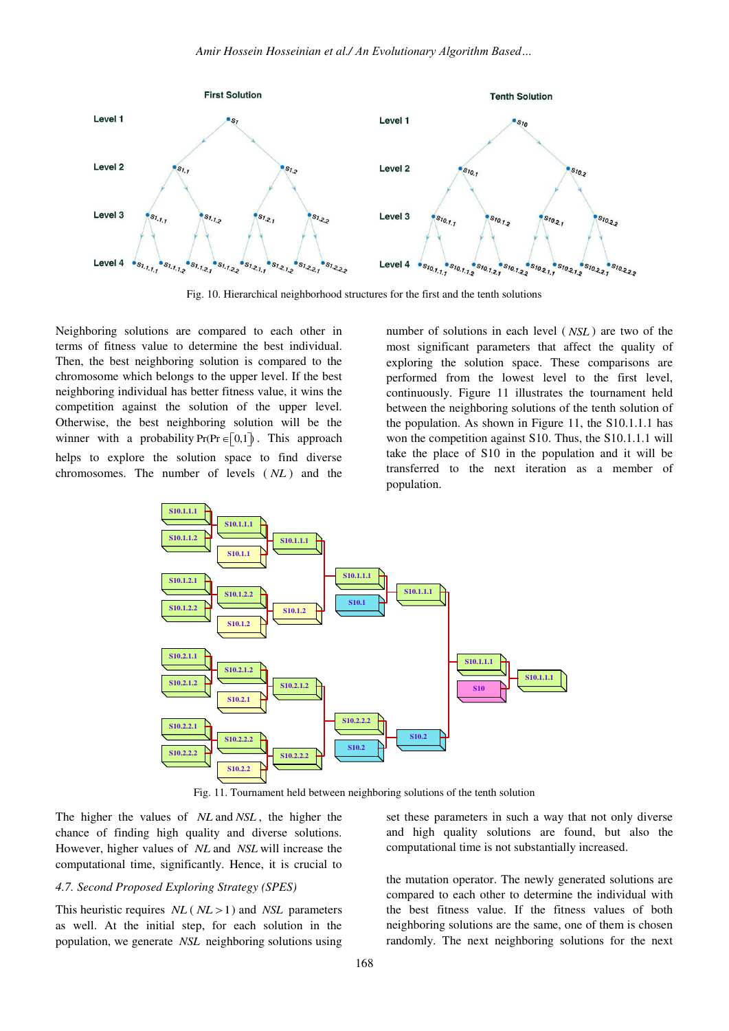

Fig. 10. Hierarchical neighborhood structures for the first and the tenth solutions

Neighboring solutions are compared to each other in terms of fitness value to determine the best individual. Then, the best neighboring solution is compared to the chromosome which belongs to the upper level. If the best neighboring individual has better fitness value, it wins the competition against the solution of the upper level. Otherwise, the best neighboring solution will be the winner with a probability  $Pr(Pr \in [0,1])$ . This approach helps to explore the solution space to find diverse chromosomes. The number of levels ( *NL* ) and the

number of solutions in each level ( *NSL* ) are two of the most significant parameters that affect the quality of exploring the solution space. These comparisons are performed from the lowest level to the first level, continuously. Figure 11 illustrates the tournament held between the neighboring solutions of the tenth solution of the population. As shown in Figure 11, the S10.1.1.1 has won the competition against S10. Thus, the S10.1.1.1 will take the place of S10 in the population and it will be transferred to the next iteration as a member of population.



Fig. 11. Tournament held between neighboring solutions of the tenth solution

The higher the values of *NL* and *NSL* , the higher the chance of finding high quality and diverse solutions. However, higher values of *NL* and *NSL* will increase the computational time, significantly. Hence, it is crucial to

#### *4.7. Second Proposed Exploring Strategy (SPES)*

This heuristic requires  $NL$  ( $NL > 1$ ) and *NSL* parameters as well. At the initial step, for each solution in the population, we generate *NSL* neighboring solutions using

set these parameters in such a way that not only diverse and high quality solutions are found, but also the computational time is not substantially increased.

the mutation operator. The newly generated solutions are compared to each other to determine the individual with the best fitness value. If the fitness values of both neighboring solutions are the same, one of them is chosen randomly. The next neighboring solutions for the next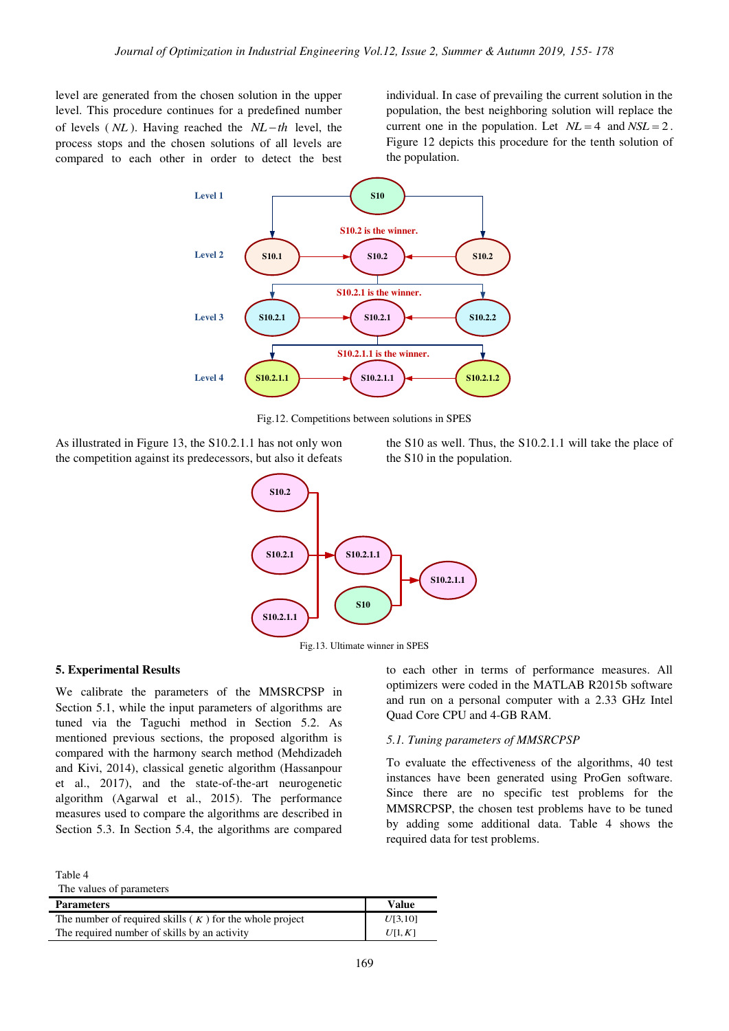level are generated from the chosen solution in the upper level. This procedure continues for a predefined number of levels  $(NL)$ . Having reached the  $NL-th$  level, the process stops and the chosen solutions of all levels are compared to each other in order to detect the best

individual. In case of prevailing the current solution in the population, the best neighboring solution will replace the current one in the population. Let  $NL = 4$  and  $NSL = 2$ . Figure 12 depicts this procedure for the tenth solution of the population.



Fig.12. Competitions between solutions in SPES

As illustrated in Figure 13, the S10.2.1.1 has not only won the competition against its predecessors, but also it defeats the S10 as well. Thus, the S10.2.1.1 will take the place of the S10 in the population.





## **5. Experimental Results**

We calibrate the parameters of the MMSRCPSP in Section 5.1, while the input parameters of algorithms are tuned via the Taguchi method in Section 5.2. As mentioned previous sections, the proposed algorithm is compared with the harmony search method (Mehdizadeh and Kivi, 2014), classical genetic algorithm (Hassanpour et al., 2017), and the state-of-the-art neurogenetic algorithm (Agarwal et al., 2015). The performance measures used to compare the algorithms are described in Section 5.3. In Section 5.4, the algorithms are compared

Table 4

| The values of parameters |  |
|--------------------------|--|
|--------------------------|--|

| <b>Parameters</b>                                         | <b>Value</b> |
|-----------------------------------------------------------|--------------|
| The number of required skills $(K)$ for the whole project | U[3,10]      |
| The required number of skills by an activity              | U[1,K]       |

to each other in terms of performance measures. All optimizers were coded in the MATLAB R2015b software and run on a personal computer with a 2.33 GHz Intel Quad Core CPU and 4-GB RAM.

#### *5.1. Tuning parameters of MMSRCPSP*

To evaluate the effectiveness of the algorithms, 40 test instances have been generated using ProGen software. Since there are no specific test problems for the MMSRCPSP, the chosen test problems have to be tuned by adding some additional data. Table 4 shows the required data for test problems.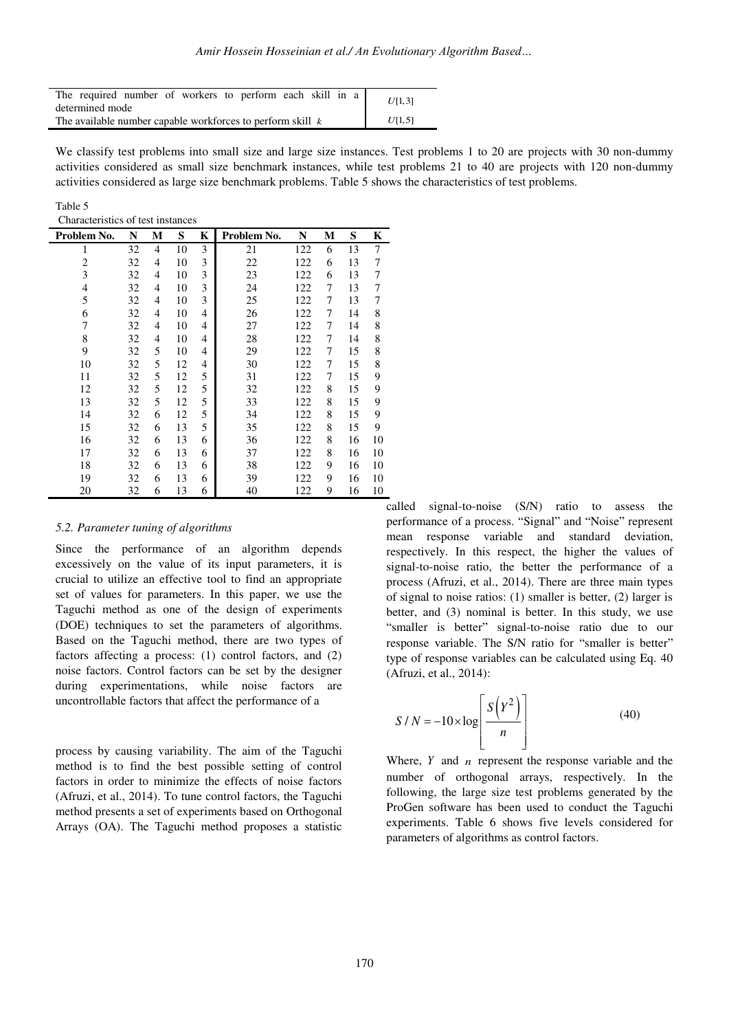| The required number of workers to perform each skill in a               | U[1,3] |  |  |  |
|-------------------------------------------------------------------------|--------|--|--|--|
| determined mode                                                         |        |  |  |  |
| The available number capable workforces to perform skill $k$<br>U[1, 5] |        |  |  |  |

We classify test problems into small size and large size instances. Test problems 1 to 20 are projects with 30 non-dummy activities considered as small size benchmark instances, while test problems 21 to 40 are projects with 120 non-dummy activities considered as large size benchmark problems. Table 5 shows the characteristics of test problems.

| ante |  |
|------|--|
|------|--|

Characteristics of test instances

| Problem No.    | N  | М              | S  | K | Problem No. | N   | М | S  | Κ  |
|----------------|----|----------------|----|---|-------------|-----|---|----|----|
| 1              | 32 | $\overline{4}$ | 10 | 3 | 21          | 122 | 6 | 13 | 7  |
| $\overline{2}$ | 32 | 4              | 10 | 3 | 22          | 122 | 6 | 13 | 7  |
| 3              | 32 | $\overline{4}$ | 10 | 3 | 23          | 122 | 6 | 13 | 7  |
| 4              | 32 | 4              | 10 | 3 | 24          | 122 | 7 | 13 | 7  |
| 5              | 32 | 4              | 10 | 3 | 25          | 122 | 7 | 13 | 7  |
| 6              | 32 | 4              | 10 | 4 | 26          | 122 | 7 | 14 | 8  |
| 7              | 32 | 4              | 10 | 4 | 27          | 122 | 7 | 14 | 8  |
| 8              | 32 | 4              | 10 | 4 | 28          | 122 | 7 | 14 | 8  |
| 9              | 32 | 5              | 10 | 4 | 29          | 122 | 7 | 15 | 8  |
| 10             | 32 | 5              | 12 | 4 | 30          | 122 | 7 | 15 | 8  |
| 11             | 32 | 5              | 12 | 5 | 31          | 122 | 7 | 15 | 9  |
| 12             | 32 | 5              | 12 | 5 | 32          | 122 | 8 | 15 | 9  |
| 13             | 32 | 5              | 12 | 5 | 33          | 122 | 8 | 15 | 9  |
| 14             | 32 | 6              | 12 | 5 | 34          | 122 | 8 | 15 | 9  |
| 15             | 32 | 6              | 13 | 5 | 35          | 122 | 8 | 15 | 9  |
| 16             | 32 | 6              | 13 | 6 | 36          | 122 | 8 | 16 | 10 |
| 17             | 32 | 6              | 13 | 6 | 37          | 122 | 8 | 16 | 10 |
| 18             | 32 | 6              | 13 | 6 | 38          | 122 | 9 | 16 | 10 |
| 19             | 32 | 6              | 13 | 6 | 39          | 122 | 9 | 16 | 10 |
| 20             | 32 | 6              | 13 | 6 | 40          | 122 | 9 | 16 | 10 |

## *5.2. Parameter tuning of algorithms*

Since the performance of an algorithm depends excessively on the value of its input parameters, it is crucial to utilize an effective tool to find an appropriate set of values for parameters. In this paper, we use the Taguchi method as one of the design of experiments (DOE) techniques to set the parameters of algorithms. Based on the Taguchi method, there are two types of factors affecting a process: (1) control factors, and (2) noise factors. Control factors can be set by the designer during experimentations, while noise factors are uncontrollable factors that affect the performance of a

process by causing variability. The aim of the Taguchi method is to find the best possible setting of control factors in order to minimize the effects of noise factors (Afruzi, et al., 2014). To tune control factors, the Taguchi method presents a set of experiments based on Orthogonal Arrays (OA). The Taguchi method proposes a statistic

called signal-to-noise (S/N) ratio to assess the performance of a process. "Signal" and "Noise" represent mean response variable and standard deviation, respectively. In this respect, the higher the values of signal-to-noise ratio, the better the performance of a process (Afruzi, et al., 2014). There are three main types of signal to noise ratios: (1) smaller is better, (2) larger is better, and (3) nominal is better. In this study, we use "smaller is better" signal-to-noise ratio due to our response variable. The S/N ratio for "smaller is better" type of response variables can be calculated using Eq. 40 (Afruzi, et al., 2014):

$$
S/N = -10 \times \log \left[ \frac{S(Y^2)}{n} \right]
$$
 (40)

Where,  $Y$  and  $n$  represent the response variable and the number of orthogonal arrays, respectively. In the following, the large size test problems generated by the ProGen software has been used to conduct the Taguchi experiments. Table 6 shows five levels considered for parameters of algorithms as control factors.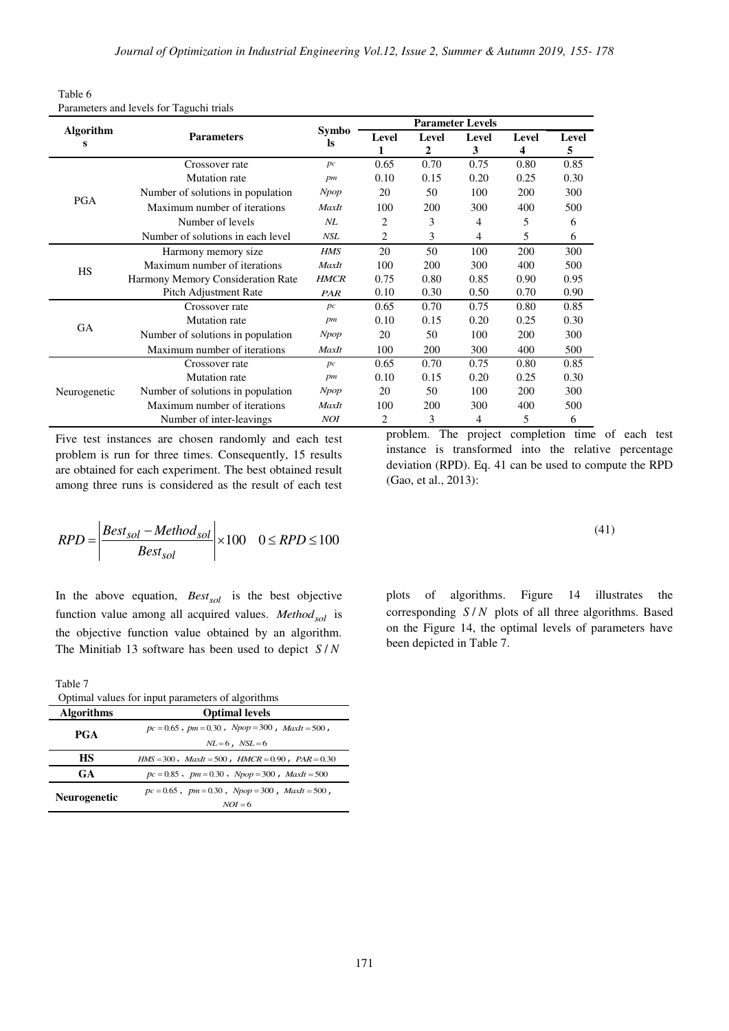| Table 6                                  |
|------------------------------------------|
| Parameters and levels for Taguchi trials |

| <b>Algorithm</b><br>s | <b>Parameters</b>                 | Symbo<br><b>ls</b> | Level<br>1 | Level<br>$\mathbf{2}$ | Level<br>3 | Level<br>4 | Level<br>5 |
|-----------------------|-----------------------------------|--------------------|------------|-----------------------|------------|------------|------------|
|                       | Crossover rate                    | pc                 | 0.65       | 0.70                  | 0.75       | 0.80       | 0.85       |
|                       | <b>Mutation</b> rate              | pm                 | 0.10       | 0.15                  | 0.20       | 0.25       | 0.30       |
|                       | Number of solutions in population | <b>Npop</b>        | 20         | 50                    | 100        | 200        | 300        |
| <b>PGA</b>            | Maximum number of iterations      | MaxIt              | 100        | 200                   | 300        | 400        | 500        |
|                       | Number of levels                  | $N\!L$             | 2          | 3                     | 4          | 5          | 6          |
|                       | Number of solutions in each level | <b>NSL</b>         | 2          | 3                     | 4          | 5          | 6          |
|                       | Harmony memory size               | <b>HMS</b>         | 20         | 50                    | 100        | 200        | 300        |
| <b>HS</b>             | Maximum number of iterations      | MaxIt              | 100        | 200                   | 300        | 400        | 500        |
|                       | Harmony Memory Consideration Rate | <b>HMCR</b>        | 0.75       | 0.80                  | 0.85       | 0.90       | 0.95       |
|                       | Pitch Adjustment Rate             | PAR                | 0.10       | 0.30                  | 0.50       | 0.70       | 0.90       |
|                       | Crossover rate                    | pc                 | 0.65       | 0.70                  | 0.75       | 0.80       | 0.85       |
|                       | <b>Mutation</b> rate              | pm                 | 0.10       | 0.15                  | 0.20       | 0.25       | 0.30       |
| <b>GA</b>             | Number of solutions in population | Npop               | 20         | 50                    | 100        | 200        | 300        |
|                       | Maximum number of iterations      | MaxIt              | 100        | 200                   | 300        | 400        | 500        |
|                       | Crossover rate                    | pc                 | 0.65       | 0.70                  | 0.75       | 0.80       | 0.85       |
|                       | Mutation rate                     | pm                 | 0.10       | 0.15                  | 0.20       | 0.25       | 0.30       |
| Neurogenetic          | Number of solutions in population | Npop               | 20         | 50                    | 100        | 200        | 300        |
|                       | Maximum number of iterations      | MaxIt              | 100        | 200                   | 300        | 400        | 500        |
|                       | Number of inter-leavings          | <b>NOI</b>         | 2          | 3                     | 4          | 5          | 6          |

Five test instances are chosen randomly and each test problem is run for three times. Consequently, 15 results are obtained for each experiment. The best obtained result among three runs is considered as the result of each test

$$
RPD = \left| \frac{Best_{sol} - Method_{sol}}{Best_{sol}} \right| \times 100 \quad 0 \le RPD \le 100
$$

In the above equation, *Bestsol* is the best objective function value among all acquired values. *Methodsol* is the objective function value obtained by an algorithm. The Minitiab 13 software has been used to depict *S N*/

Table 7

| Optimal values for input parameters of argorithms |                                                            |  |  |  |  |  |  |
|---------------------------------------------------|------------------------------------------------------------|--|--|--|--|--|--|
| <b>Algorithms</b>                                 | <b>Optimal levels</b>                                      |  |  |  |  |  |  |
| PGA                                               | $pc = 0.65$ , $pm = 0.30$ , $Npop = 300$ , $MaxIt = 500$ , |  |  |  |  |  |  |
|                                                   | $NL=6$ , $NSL=6$                                           |  |  |  |  |  |  |
| <b>HS</b>                                         | $HMS = 300$ , $MaxIt = 500$ , $HMCR = 0.90$ , $PAR = 0.30$ |  |  |  |  |  |  |
| <b>GA</b>                                         | $pc = 0.85$ , $pm = 0.30$ , $Npop = 300$ , $MaxIt = 500$   |  |  |  |  |  |  |
|                                                   | $pc = 0.65$ , $pm = 0.30$ , $Npop = 300$ , $MaxIt = 500$ , |  |  |  |  |  |  |
| <b>Neurogenetic</b>                               | $NOI = 6$                                                  |  |  |  |  |  |  |
|                                                   |                                                            |  |  |  |  |  |  |

problem. The project completion time of each test instance is transformed into the relative percentage deviation (RPD). Eq. 41 can be used to compute the RPD (Gao, et al., 2013):

$$
(41)
$$

plots of algorithms. Figure 14 illustrates the corresponding *S/N* plots of all three algorithms. Based on the Figure 14, the optimal levels of parameters have been depicted in Table 7.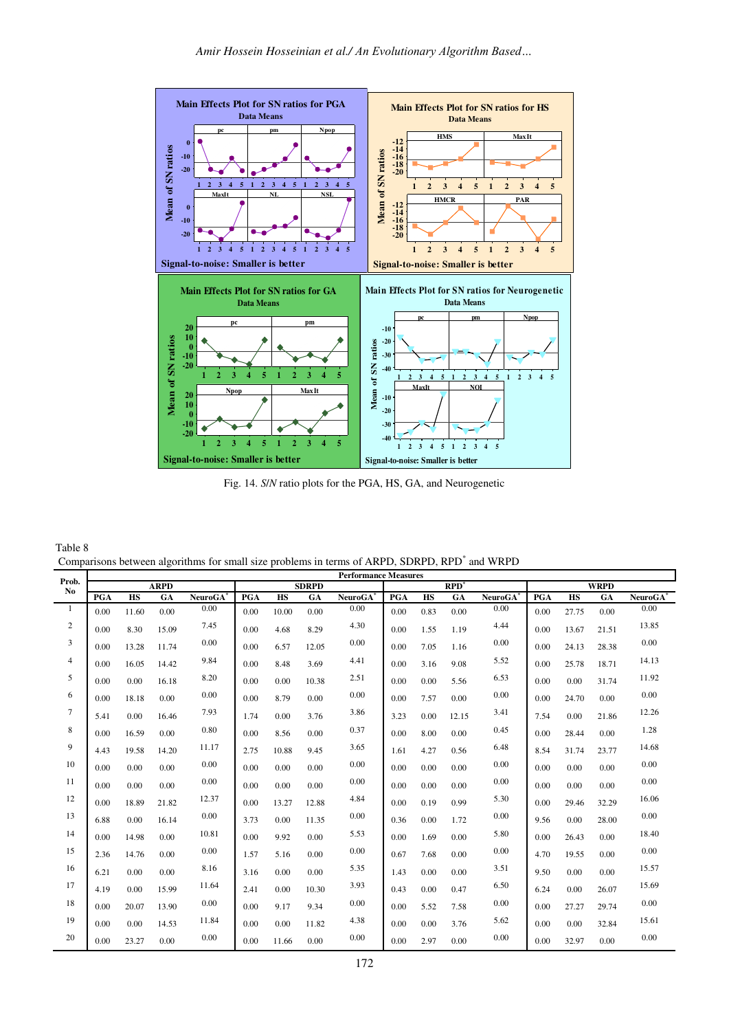

Fig. 14. *S*/*N* ratio plots for the PGA, HS, GA, and Neurogenetic

| Table 8                                                                                                   |  |
|-----------------------------------------------------------------------------------------------------------|--|
| Comparisons between algorithms for small size problems in terms of ARPD, SDRPD, RPD <sup>*</sup> and WRPD |  |

|                |      |           |             |                |      |           |              | <b>Performance Measures</b> |      |           |         |                |      |           |             |                         |
|----------------|------|-----------|-------------|----------------|------|-----------|--------------|-----------------------------|------|-----------|---------|----------------|------|-----------|-------------|-------------------------|
| Prob.<br>No    |      |           | <b>ARPD</b> |                |      |           | <b>SDRPD</b> |                             |      |           | $RPD^*$ |                |      |           | <b>WRPD</b> |                         |
|                | PGA  | <b>HS</b> | GA          | <b>NeuroGA</b> | PGA  | <b>HS</b> | GA           | NeuroGA <sup>*</sup>        | PGA  | <b>HS</b> | GA      | <b>NeuroGA</b> | PGA  | <b>HS</b> | GA          | Neuro $G\overline{A}^*$ |
| 1              | 0.00 | 11.60     | 0.00        | 0.00           | 0.00 | 10.00     | 0.00         | 0.00                        | 0.00 | 0.83      | 0.00    | 0.00           | 0.00 | 27.75     | 0.00        | 0.00                    |
| $\overline{2}$ | 0.00 | 8.30      | 15.09       | 7.45           | 0.00 | 4.68      | 8.29         | 4.30                        | 0.00 | 1.55      | 1.19    | 4.44           | 0.00 | 13.67     | 21.51       | 13.85                   |
| 3              | 0.00 | 13.28     | 11.74       | 0.00           | 0.00 | 6.57      | 12.05        | 0.00                        | 0.00 | 7.05      | 1.16    | 0.00           | 0.00 | 24.13     | 28.38       | 0.00                    |
| $\overline{4}$ | 0.00 | 16.05     | 14.42       | 9.84           | 0.00 | 8.48      | 3.69         | 4.41                        | 0.00 | 3.16      | 9.08    | 5.52           | 0.00 | 25.78     | 18.71       | 14.13                   |
| 5              | 0.00 | 0.00      | 16.18       | 8.20           | 0.00 | 0.00      | 10.38        | 2.51                        | 0.00 | 0.00      | 5.56    | 6.53           | 0.00 | 0.00      | 31.74       | 11.92                   |
| 6              | 0.00 | 18.18     | 0.00        | 0.00           | 0.00 | 8.79      | 0.00         | 0.00                        | 0.00 | 7.57      | 0.00    | 0.00           | 0.00 | 24.70     | 0.00        | 0.00                    |
| 7              | 5.41 | 0.00      | 16.46       | 7.93           | 1.74 | 0.00      | 3.76         | 3.86                        | 3.23 | 0.00      | 12.15   | 3.41           | 7.54 | 0.00      | 21.86       | 12.26                   |
| 8              | 0.00 | 16.59     | 0.00        | 0.80           | 0.00 | 8.56      | 0.00         | 0.37                        | 0.00 | 8.00      | 0.00    | 0.45           | 0.00 | 28.44     | 0.00        | 1.28                    |
| 9              | 4.43 | 19.58     | 14.20       | 11.17          | 2.75 | 10.88     | 9.45         | 3.65                        | 1.61 | 4.27      | 0.56    | 6.48           | 8.54 | 31.74     | 23.77       | 14.68                   |
| 10             | 0.00 | 0.00      | 0.00        | 0.00           | 0.00 | 0.00      | 0.00         | 0.00                        | 0.00 | 0.00      | 0.00    | 0.00           | 0.00 | 0.00      | 0.00        | 0.00                    |
| 11             | 0.00 | 0.00      | 0.00        | 0.00           | 0.00 | 0.00      | 0.00         | 0.00                        | 0.00 | 0.00      | 0.00    | 0.00           | 0.00 | 0.00      | 0.00        | 0.00                    |
| 12             | 0.00 | 18.89     | 21.82       | 12.37          | 0.00 | 13.27     | 12.88        | 4.84                        | 0.00 | 0.19      | 0.99    | 5.30           | 0.00 | 29.46     | 32.29       | 16.06                   |
| 13             | 6.88 | 0.00      | 16.14       | 0.00           | 3.73 | 0.00      | 11.35        | 0.00                        | 0.36 | 0.00      | 1.72    | 0.00           | 9.56 | 0.00      | 28.00       | 0.00                    |
| 14             | 0.00 | 14.98     | 0.00        | 10.81          | 0.00 | 9.92      | 0.00         | 5.53                        | 0.00 | 1.69      | 0.00    | 5.80           | 0.00 | 26.43     | 0.00        | 18.40                   |
| 15             | 2.36 | 14.76     | 0.00        | 0.00           | 1.57 | 5.16      | 0.00         | 0.00                        | 0.67 | 7.68      | 0.00    | 0.00           | 4.70 | 19.55     | 0.00        | 0.00                    |
| 16             | 6.21 | 0.00      | 0.00        | 8.16           | 3.16 | 0.00      | 0.00         | 5.35                        | 1.43 | 0.00      | 0.00    | 3.51           | 9.50 | 0.00      | 0.00        | 15.57                   |
| 17             | 4.19 | 0.00      | 15.99       | 11.64          | 2.41 | 0.00      | 10.30        | 3.93                        | 0.43 | 0.00      | 0.47    | 6.50           | 6.24 | 0.00      | 26.07       | 15.69                   |
| 18             | 0.00 | 20.07     | 13.90       | 0.00           | 0.00 | 9.17      | 9.34         | 0.00                        | 0.00 | 5.52      | 7.58    | 0.00           | 0.00 | 27.27     | 29.74       | 0.00                    |
| 19             | 0.00 | 0.00      | 14.53       | 11.84          | 0.00 | 0.00      | 11.82        | 4.38                        | 0.00 | 0.00      | 3.76    | 5.62           | 0.00 | 0.00      | 32.84       | 15.61                   |
| 20             | 0.00 | 23.27     | 0.00        | 0.00           | 0.00 | 11.66     | 0.00         | 0.00                        | 0.00 | 2.97      | 0.00    | 0.00           | 0.00 | 32.97     | 0.00        | 0.00                    |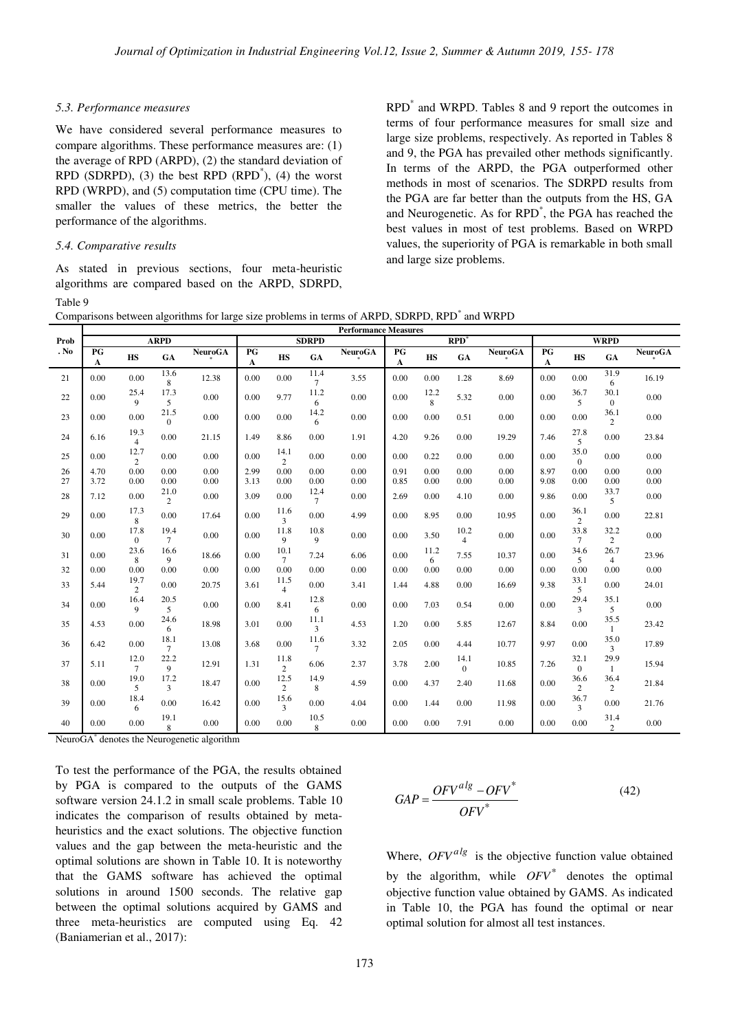## *5.3. Performance measures*

We have considered several performance measures to compare algorithms. These performance measures are: (1) the average of RPD (ARPD), (2) the standard deviation of RPD (SDRPD),  $(3)$  the best RPD  $(RPD^*)$ ,  $(4)$  the worst RPD (WRPD), and (5) computation time (CPU time). The smaller the values of these metrics, the better the performance of the algorithms.

## *5.4. Comparative results*

As stated in previous sections, four meta-heuristic algorithms are compared based on the ARPD, SDRPD, Table 9

RPD\* and WRPD. Tables 8 and 9 report the outcomes in terms of four performance measures for small size and large size problems, respectively. As reported in Tables 8 and 9, the PGA has prevailed other methods significantly. In terms of the ARPD, the PGA outperformed other methods in most of scenarios. The SDRPD results from the PGA are far better than the outputs from the HS, GA and Neurogenetic. As for RPD\* , the PGA has reached the best values in most of test problems. Based on WRPD values, the superiority of PGA is remarkable in both small and large size problems.

Comparisons between algorithms for large size problems in terms of ARPD, SDRPD, RPD<sup>\*</sup> and WRPD

|          | <b>Performance Measures</b> |                        |                        |                |              |                        |                |                |                   |                        |                        |                |              |                      |                        |                |
|----------|-----------------------------|------------------------|------------------------|----------------|--------------|------------------------|----------------|----------------|-------------------|------------------------|------------------------|----------------|--------------|----------------------|------------------------|----------------|
| Prob     |                             |                        | <b>ARPD</b>            |                |              |                        | <b>SDRPD</b>   |                |                   |                        | RPD <sup>3</sup>       |                |              |                      | <b>WRPD</b>            |                |
| . No     | PG<br>$\mathbf{A}$          | HS                     | GA                     | <b>NeuroGA</b> | PG<br>A      | $\mathbf{H}\mathbf{S}$ | GA             | <b>NeuroGA</b> | PG<br>$\mathbf A$ | $\mathbf{H}\mathbf{S}$ | GA                     | <b>NeuroGA</b> | PG<br>A      | <b>HS</b>            | GA                     | <b>NeuroGA</b> |
| 21       | 0.00                        | 0.00                   | 13.6<br>8              | 12.38          | 0.00         | 0.00                   | 11.4<br>$\tau$ | 3.55           | 0.00              | 0.00                   | 1.28                   | 8.69           | 0.00         | 0.00                 | 31.9<br>6              | 16.19          |
| 22       | 0.00                        | 25.4<br>9              | 17.3<br>5              | 0.00           | 0.00         | 9.77                   | 11.2<br>6      | 0.00           | 0.00              | 12.2<br>8              | 5.32                   | 0.00           | 0.00         | 36.7<br>5            | 30.1<br>$\mathbf{0}$   | 0.00           |
| 23       | 0.00                        | 0.00                   | 21.5<br>$\mathbf{0}$   | 0.00           | 0.00         | 0.00                   | 14.2<br>6      | 0.00           | 0.00              | 0.00                   | 0.51                   | 0.00           | 0.00         | 0.00                 | 36.1<br>2              | 0.00           |
| 24       | 6.16                        | 19.3<br>$\overline{4}$ | 0.00                   | 21.15          | 1.49         | 8.86                   | 0.00           | 1.91           | 4.20              | 9.26                   | 0.00                   | 19.29          | 7.46         | 27.8<br>5            | 0.00                   | 23.84          |
| 25       | 0.00                        | 12.7<br>2              | 0.00                   | 0.00           | 0.00         | 14.1<br>2              | 0.00           | 0.00           | 0.00              | 0.22                   | 0.00                   | 0.00           | 0.00         | 35.0<br>$\Omega$     | 0.00                   | 0.00           |
| 26<br>27 | 4.70<br>3.72                | 0.00<br>0.00           | 0.00<br>0.00           | 0.00<br>0.00   | 2.99<br>3.13 | 0.00<br>0.00           | 0.00<br>0.00   | 0.00<br>0.00   | 0.91<br>0.85      | 0.00<br>0.00           | 0.00<br>0.00           | 0.00<br>0.00   | 8.97<br>9.08 | 0.00<br>0.00         | 0.00<br>0.00           | 0.00<br>0.00   |
| 28       | 7.12                        | 0.00                   | 21.0<br>$\overline{c}$ | 0.00           | 3.09         | 0.00                   | 12.4<br>$\tau$ | 0.00           | 2.69              | 0.00                   | 4.10                   | 0.00           | 9.86         | 0.00                 | 33.7<br>5              | 0.00           |
| 29       | 0.00                        | 17.3<br>8              | 0.00                   | 17.64          | 0.00         | 11.6<br>3              | 0.00           | 4.99           | 0.00              | 8.95                   | 0.00                   | 10.95          | 0.00         | 36.1<br>2            | 0.00                   | 22.81          |
| 30       | 0.00                        | 17.8<br>$\mathbf{0}$   | 19.4<br>$\tau$         | 0.00           | 0.00         | 11.8<br>9              | 10.8<br>9      | 0.00           | 0.00              | 3.50                   | 10.2<br>$\overline{4}$ | 0.00           | 0.00         | 33.8<br>$\tau$       | 32.2<br>2              | 0.00           |
| 31       | 0.00                        | 23.6<br>8              | 16.6<br>9              | 18.66          | 0.00         | 10.1<br>$\tau$         | 7.24           | 6.06           | 0.00              | 11.2<br>6              | 7.55                   | 10.37          | 0.00         | 34.6<br>5            | 26.7<br>$\overline{4}$ | 23.96          |
| 32       | 0.00                        | 0.00                   | 0.00                   | 0.00           | 0.00         | 0.00                   | 0.00           | 0.00           | 0.00              | 0.00                   | 0.00                   | 0.00           | 0.00         | 0.00                 | 0.00                   | 0.00           |
| 33       | 5.44                        | 19.7<br>2              | 0.00                   | 20.75          | 3.61         | 11.5<br>$\overline{4}$ | 0.00           | 3.41           | 1.44              | 4.88                   | 0.00                   | 16.69          | 9.38         | 33.1<br>5            | 0.00                   | 24.01          |
| 34       | 0.00                        | 16.4<br>9              | 20.5<br>5              | 0.00           | 0.00         | 8.41                   | 12.8<br>6      | 0.00           | 0.00              | 7.03                   | 0.54                   | 0.00           | 0.00         | 29.4<br>3            | 35.1<br>5              | 0.00           |
| 35       | 4.53                        | 0.00                   | 24.6<br>6              | 18.98          | 3.01         | 0.00                   | 11.1<br>3      | 4.53           | 1.20              | 0.00                   | 5.85                   | 12.67          | 8.84         | 0.00                 | 35.5<br>1              | 23.42          |
| 36       | 6.42                        | 0.00                   | 18.1<br>$\tau$         | 13.08          | 3.68         | 0.00                   | 11.6<br>$\tau$ | 3.32           | 2.05              | 0.00                   | 4.44                   | 10.77          | 9.97         | 0.00                 | 35.0<br>3              | 17.89          |
| 37       | 5.11                        | 12.0<br>$\tau$         | 22.2<br>9              | 12.91          | 1.31         | 11.8<br>2              | 6.06           | 2.37           | 3.78              | 2.00                   | 14.1<br>$\Omega$       | 10.85          | 7.26         | 32.1<br>$\mathbf{0}$ | 29.9<br>$\mathbf{1}$   | 15.94          |
| 38       | 0.00                        | 19.0<br>5              | 17.2<br>3              | 18.47          | 0.00         | 12.5<br>2              | 14.9<br>8      | 4.59           | 0.00              | 4.37                   | 2.40                   | 11.68          | 0.00         | 36.6<br>2            | 36.4<br>2              | 21.84          |
| 39       | 0.00                        | 18.4<br>6              | 0.00                   | 16.42          | 0.00         | 15.6<br>3              | 0.00           | 4.04           | 0.00              | 1.44                   | 0.00                   | 11.98          | 0.00         | 36.7<br>3            | 0.00                   | 21.76          |
| 40       | 0.00                        | 0.00                   | 19.1<br>8              | 0.00           | 0.00         | 0.00                   | 10.5<br>8      | 0.00           | 0.00              | 0.00                   | 7.91                   | 0.00           | 0.00         | 0.00                 | 31.4<br>$\overline{2}$ | 0.00           |

NeuroGA\* denotes the Neurogenetic algorithm

To test the performance of the PGA, the results obtained by PGA is compared to the outputs of the GAMS software version 24.1.2 in small scale problems. Table 10 indicates the comparison of results obtained by metaheuristics and the exact solutions. The objective function values and the gap between the meta-heuristic and the optimal solutions are shown in Table 10. It is noteworthy that the GAMS software has achieved the optimal solutions in around 1500 seconds. The relative gap between the optimal solutions acquired by GAMS and three meta-heuristics are computed using Eq. 42 (Baniamerian et al., 2017):

$$
GAP = \frac{OFV^{alg} - OFV^*}{OFV^*}
$$
\n(42)

Where,  $OFV^{alg}$  is the objective function value obtained by the algorithm, while  $OFV^*$  denotes the optimal objective function value obtained by GAMS. As indicated in Table 10, the PGA has found the optimal or near optimal solution for almost all test instances.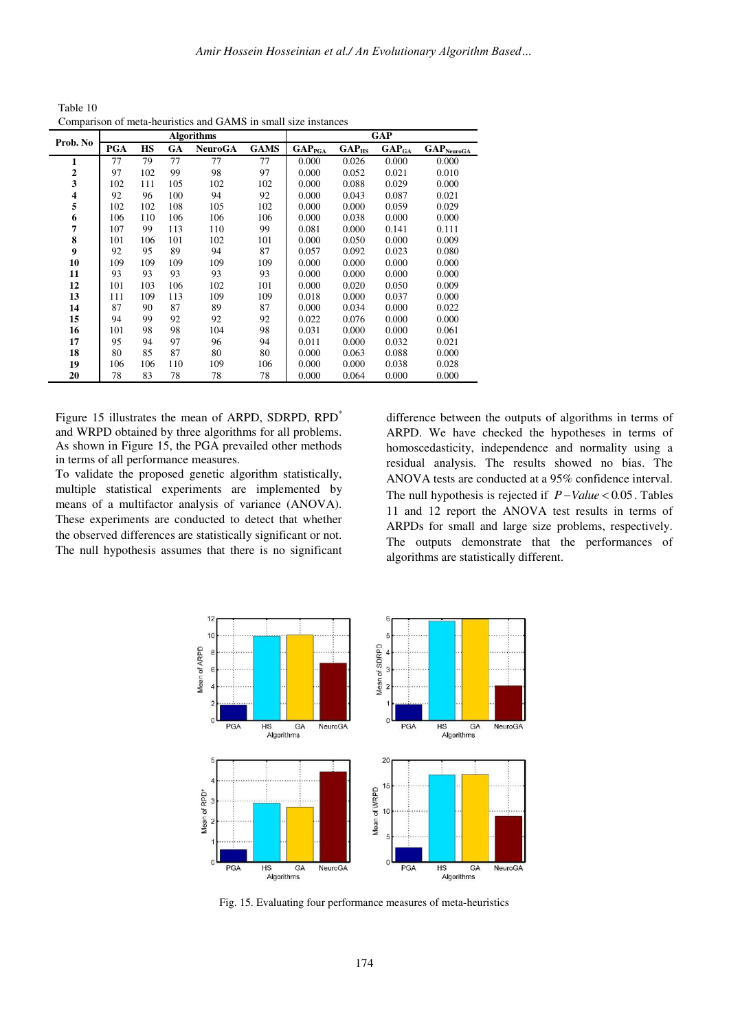Table 10 Comparison of meta-heuristics and GAMS in small size instances

| Prob. No      |            |     |     | <b>Algorithms</b> |             | <b>GAP</b>         |            |                              |                                 |  |  |
|---------------|------------|-----|-----|-------------------|-------------|--------------------|------------|------------------------------|---------------------------------|--|--|
|               | <b>PGA</b> | HS  | GA  | <b>NeuroGA</b>    | <b>GAMS</b> | GAP <sub>PGA</sub> | $GAP_{HS}$ | $\mathbf{GAP}_{\mathbf{GA}}$ | $\mathbf{GAP}_{\text{NeuroGA}}$ |  |  |
| 1             | 77         | 79  | 77  | 77                | 77          | 0.000              | 0.026      | 0.000                        | 0.000                           |  |  |
| $\mathbf{2}$  | 97         | 102 | 99  | 98                | 97          | 0.000              | 0.052      | 0.021                        | 0.010                           |  |  |
| 3             | 102        | 111 | 105 | 102               | 102         | 0.000              | 0.088      | 0.029                        | 0.000                           |  |  |
| $\frac{4}{5}$ | 92         | 96  | 100 | 94                | 92          | 0.000              | 0.043      | 0.087                        | 0.021                           |  |  |
|               | 102        | 102 | 108 | 105               | 102         | 0.000              | 0.000      | 0.059                        | 0.029                           |  |  |
| 6             | 106        | 110 | 106 | 106               | 106         | 0.000              | 0.038      | 0.000                        | 0.000                           |  |  |
| 7             | 107        | 99  | 113 | 110               | 99          | 0.081              | 0.000      | 0.141                        | 0.111                           |  |  |
| 8             | 101        | 106 | 101 | 102               | 101         | 0.000              | 0.050      | 0.000                        | 0.009                           |  |  |
| 9             | 92         | 95  | 89  | 94                | 87          | 0.057              | 0.092      | 0.023                        | 0.080                           |  |  |
| 10            | 109        | 109 | 109 | 109               | 109         | 0.000              | 0.000      | 0.000                        | 0.000                           |  |  |
| 11            | 93         | 93  | 93  | 93                | 93          | 0.000              | 0.000      | 0.000                        | 0.000                           |  |  |
| 12            | 101        | 103 | 106 | 102               | 101         | 0.000              | 0.020      | 0.050                        | 0.009                           |  |  |
| 13            | 111        | 109 | 113 | 109               | 109         | 0.018              | 0.000      | 0.037                        | 0.000                           |  |  |
| 14            | 87         | 90  | 87  | 89                | 87          | 0.000              | 0.034      | 0.000                        | 0.022                           |  |  |
| 15            | 94         | 99  | 92  | 92                | 92          | 0.022              | 0.076      | 0.000                        | 0.000                           |  |  |
| 16            | 101        | 98  | 98  | 104               | 98          | 0.031              | 0.000      | 0.000                        | 0.061                           |  |  |
| 17            | 95         | 94  | 97  | 96                | 94          | 0.011              | 0.000      | 0.032                        | 0.021                           |  |  |
| 18            | 80         | 85  | 87  | 80                | 80          | 0.000              | 0.063      | 0.088                        | 0.000                           |  |  |
| 19            | 106        | 106 | 110 | 109               | 106         | 0.000              | 0.000      | 0.038                        | 0.028                           |  |  |
| 20            | 78         | 83  | 78  | 78                | 78          | 0.000              | 0.064      | 0.000                        | 0.000                           |  |  |

Figure 15 illustrates the mean of ARPD, SDRPD, RPD<sup>\*</sup> and WRPD obtained by three algorithms for all problems. As shown in Figure 15, the PGA prevailed other methods in terms of all performance measures.

To validate the proposed genetic algorithm statistically, multiple statistical experiments are implemented by means of a multifactor analysis of variance (ANOVA). These experiments are conducted to detect that whether the observed differences are statistically significant or not. The null hypothesis assumes that there is no significant

difference between the outputs of algorithms in terms of ARPD. We have checked the hypotheses in terms of homoscedasticity, independence and normality using a residual analysis. The results showed no bias. The ANOVA tests are conducted at a 95% confidence interval. The null hypothesis is rejected if  $P-Value < 0.05$ . Tables 11 and 12 report the ANOVA test results in terms of ARPDs for small and large size problems, respectively. The outputs demonstrate that the performances of algorithms are statistically different.



Fig. 15. Evaluating four performance measures of meta-heuristics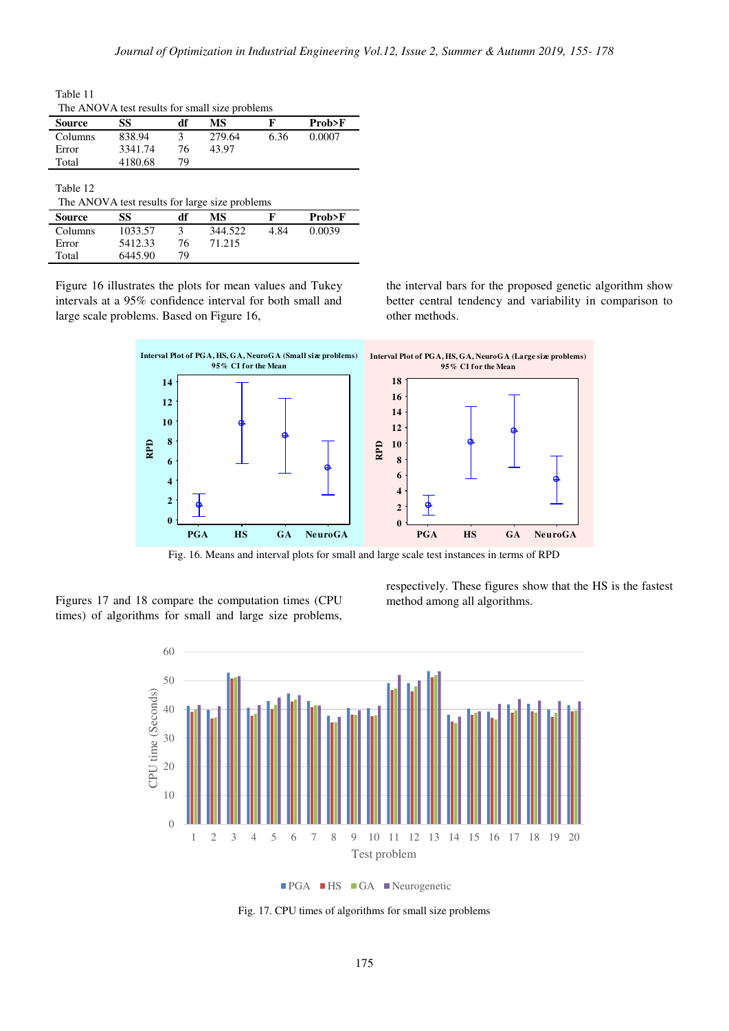Table 11 The ANOVA test results for small size problems

| Source   | SS      | df | MS     | F    | Prob>F |
|----------|---------|----|--------|------|--------|
| Columns  | 838.94  |    | 279.64 | 6.36 | 0.0007 |
| Error    | 3341.74 | 76 | 43.97  |      |        |
| Total    | 4180.68 | 79 |        |      |        |
|          |         |    |        |      |        |
| Table 12 |         |    |        |      |        |

| The ANOVA test results for large size problems |         |    |         |      |        |  |  |  |  |
|------------------------------------------------|---------|----|---------|------|--------|--|--|--|--|
| <b>Source</b>                                  | SS      | df | МS      | ю    | Prob>F |  |  |  |  |
| Columns                                        | 1033.57 | 3  | 344.522 | 4.84 | 0.0039 |  |  |  |  |
| Error                                          | 5412.33 | 76 | 71.215  |      |        |  |  |  |  |
| Total                                          | 6445.90 | 79 |         |      |        |  |  |  |  |

Figure 16 illustrates the plots for mean values and Tukey intervals at a 95% confidence interval for both small and large scale problems. Based on Figure 16,

the interval bars for the proposed genetic algorithm show better central tendency and variability in comparison to other methods.



Fig. 16. Means and interval plots for small and large scale test instances in terms of RPD

Figures 17 and 18 compare the computation times (CPU times) of algorithms for small and large size problems,

respectively. These figures show that the HS is the fastest method among all algorithms.



■PGA ■HS ■GA ■Neurogenetic

Fig. 17. CPU times of algorithms for small size problems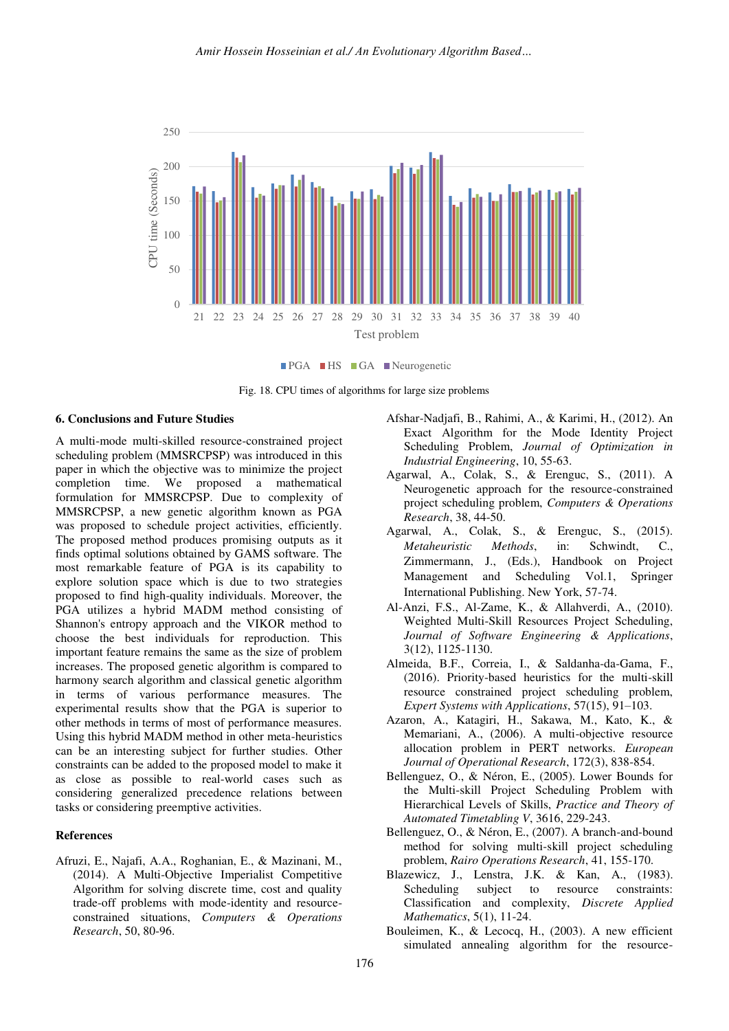

**FIPGA HS GA Neurogenetic** 



#### **6. Conclusions and Future Studies**

A multi-mode multi-skilled resource-constrained project scheduling problem (MMSRCPSP) was introduced in this paper in which the objective was to minimize the project completion time. We proposed a mathematical formulation for MMSRCPSP. Due to complexity of MMSRCPSP, a new genetic algorithm known as PGA was proposed to schedule project activities, efficiently. The proposed method produces promising outputs as it finds optimal solutions obtained by GAMS software. The most remarkable feature of PGA is its capability to explore solution space which is due to two strategies proposed to find high-quality individuals. Moreover, the PGA utilizes a hybrid MADM method consisting of Shannon's entropy approach and the VIKOR method to choose the best individuals for reproduction. This important feature remains the same as the size of problem increases. The proposed genetic algorithm is compared to harmony search algorithm and classical genetic algorithm in terms of various performance measures. The experimental results show that the PGA is superior to other methods in terms of most of performance measures. Using this hybrid MADM method in other meta-heuristics can be an interesting subject for further studies. Other constraints can be added to the proposed model to make it as close as possible to real-world cases such as considering generalized precedence relations between tasks or considering preemptive activities.

## **References**

Afruzi, E., Najafi, A.A., Roghanian, E., & Mazinani, M., (2014). A Multi-Objective Imperialist Competitive Algorithm for solving discrete time, cost and quality trade-off problems with mode-identity and resourceconstrained situations, *Computers & Operations Research*, 50, 80-96.

- Afshar-Nadjafi, B., Rahimi, A., & Karimi, H., (2012). An Exact Algorithm for the Mode Identity Project Scheduling Problem, *Journal of Optimization in Industrial Engineering*, 10, 55-63.
- Agarwal, A., Colak, S., & Erenguc, S., (2011). A Neurogenetic approach for the resource-constrained project scheduling problem, *Computers & Operations Research*, 38, 44-50.
- Agarwal, A., Colak, S., & Erenguc, S., (2015). *Metaheuristic Methods*, in: Schwindt, C., Zimmermann, J., (Eds.), Handbook on Project Management and Scheduling Vol.1, Springer International Publishing. New York, 57-74.
- Al-Anzi, F.S., Al-Zame, K., & Allahverdi, A., (2010). Weighted Multi-Skill Resources Project Scheduling, *Journal of Software Engineering & Applications*, 3(12), 1125-1130.
- Almeida, B.F., Correia, I., & Saldanha-da-Gama, F., (2016). Priority-based heuristics for the multi-skill resource constrained project scheduling problem, *Expert Systems with Applications*, 57(15), 91–103.
- Azaron, A., Katagiri, H., Sakawa, M., Kato, K., & Memariani, A., (2006). A multi-objective resource allocation problem in PERT networks. *European Journal of Operational Research*, 172(3), 838-854.
- Bellenguez, O., & Néron, E., (2005). Lower Bounds for the Multi-skill Project Scheduling Problem with Hierarchical Levels of Skills, *Practice and Theory of Automated Timetabling V*, 3616, 229-243.
- Bellenguez, O., & Néron, E., (2007). A branch-and-bound method for solving multi-skill project scheduling problem, *Rairo Operations Research*, 41, 155-170.
- Blazewicz, J., Lenstra, J.K. & Kan, A., (1983). Scheduling subject to resource constraints: Classification and complexity, *Discrete Applied Mathematics*, 5(1), 11-24.
- Bouleimen, K., & Lecocq, H., (2003). A new efficient simulated annealing algorithm for the resource-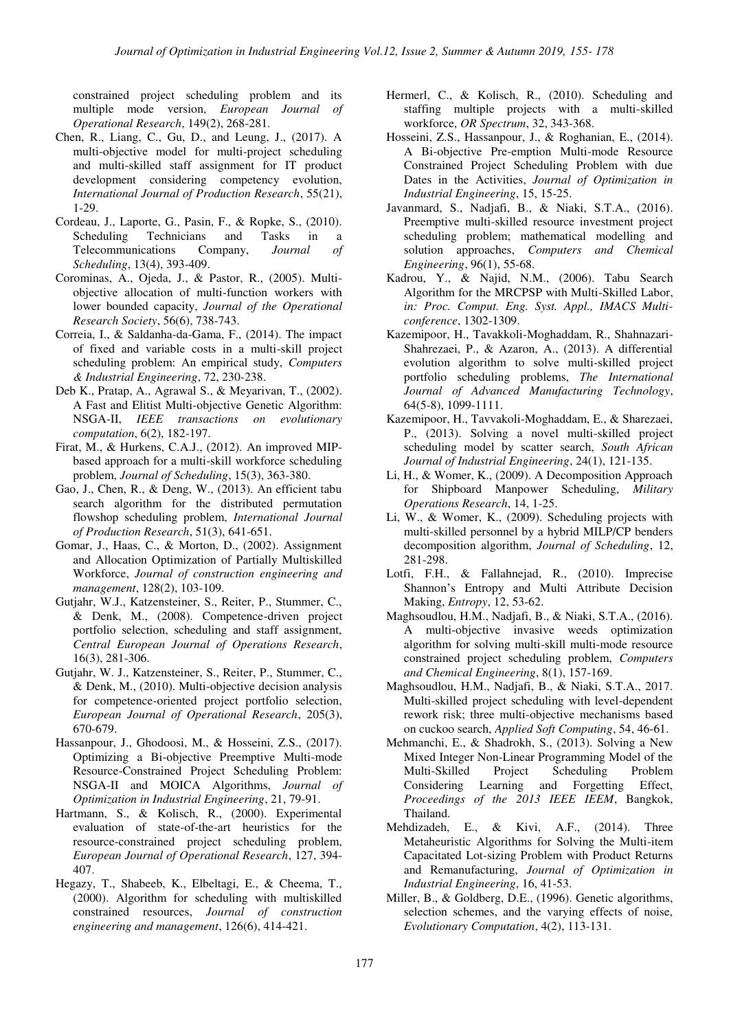constrained project scheduling problem and its multiple mode version, *European Journal of Operational Research*, 149(2), 268-281.

- Chen, R., Liang, C., Gu, D., and Leung, J., (2017). A multi-objective model for multi-project scheduling and multi-skilled staff assignment for IT product development considering competency evolution, *International Journal of Production Research*, 55(21), 1-29.
- Cordeau, J., Laporte, G., Pasin, F., & Ropke, S., (2010). Scheduling Technicians and Tasks in a Telecommunications Company, *Journal of Scheduling*, 13(4), 393-409.
- Corominas, A., Ojeda, J., & Pastor, R., (2005). Multiobjective allocation of multi-function workers with lower bounded capacity, *Journal of the Operational Research Society*, 56(6), 738-743.
- Correia, I., & Saldanha-da-Gama, F., (2014). The impact of fixed and variable costs in a multi-skill project scheduling problem: An empirical study, *Computers & Industrial Engineering*, 72, 230-238.
- Deb K., Pratap, A., Agrawal S., & Meyarivan, T., (2002). A Fast and Elitist Multi-objective Genetic Algorithm: NSGA-II, *IEEE transactions on evolutionary computation*, 6(2), 182-197.
- Firat, M., & Hurkens, C.A.J., (2012). An improved MIPbased approach for a multi-skill workforce scheduling problem, *Journal of Scheduling*, 15(3), 363-380.
- Gao, J., Chen, R., & Deng, W., (2013). An efficient tabu search algorithm for the distributed permutation flowshop scheduling problem, *International Journal of Production Research*, 51(3), 641-651.
- Gomar, J., Haas, C., & Morton, D., (2002). Assignment and Allocation Optimization of Partially Multiskilled Workforce, *Journal of construction engineering and management*, 128(2), 103-109.
- Gutjahr, W.J., Katzensteiner, S., Reiter, P., Stummer, C., & Denk, M., (2008). Competence-driven project portfolio selection, scheduling and staff assignment, *Central European Journal of Operations Research*, 16(3), 281-306.
- Gutjahr, W. J., Katzensteiner, S., Reiter, P., Stummer, C., & Denk, M., (2010). Multi-objective decision analysis for competence-oriented project portfolio selection, *European Journal of Operational Research*, 205(3), 670-679.
- Hassanpour, J., Ghodoosi, M., & Hosseini, Z.S., (2017). Optimizing a Bi-objective Preemptive Multi-mode Resource-Constrained Project Scheduling Problem: NSGA-II and MOICA Algorithms, *Journal of Optimization in Industrial Engineering*, 21, 79-91.
- Hartmann, S., & Kolisch, R., (2000). Experimental evaluation of state-of-the-art heuristics for the resource-constrained project scheduling problem, *European Journal of Operational Research*, 127, 394- 407.
- Hegazy, T., Shabeeb, K., Elbeltagi, E., & Cheema, T., (2000). Algorithm for scheduling with multiskilled constrained resources, *Journal of construction engineering and management*, 126(6), 414-421.
- Hermerl, C., & Kolisch, R., (2010). Scheduling and staffing multiple projects with a multi-skilled workforce, *OR Spectrum*, 32, 343-368.
- Hosseini, Z.S., Hassanpour, J., & Roghanian, E., (2014). A Bi-objective Pre-emption Multi-mode Resource Constrained Project Scheduling Problem with due Dates in the Activities, *Journal of Optimization in Industrial Engineering*, 15, 15-25.
- Javanmard, S., Nadjafi, B., & Niaki, S.T.A., (2016). Preemptive multi-skilled resource investment project scheduling problem; mathematical modelling and solution approaches, *Computers and Chemical Engineering*, 96(1), 55-68.
- Kadrou, Y., & Najid, N.M., (2006). Tabu Search Algorithm for the MRCPSP with Multi-Skilled Labor, *in: Proc. Comput. Eng. Syst. Appl., IMACS Multiconference*, 1302-1309.
- Kazemipoor, H., Tavakkoli-Moghaddam, R., Shahnazari-Shahrezaei, P., & Azaron, A., (2013). A differential evolution algorithm to solve multi-skilled project portfolio scheduling problems, *The International Journal of Advanced Manufacturing Technology*, 64(5-8), 1099-1111.
- Kazemipoor, H., Tavvakoli-Moghaddam, E., & Sharezaei, P., (2013). Solving a novel multi-skilled project scheduling model by scatter search, *South African Journal of Industrial Engineering*, 24(1), 121-135.
- Li, H., & Womer, K., (2009). A Decomposition Approach for Shipboard Manpower Scheduling, *Military Operations Research*, 14, 1-25.
- Li, W., & Womer, K., (2009). Scheduling projects with multi-skilled personnel by a hybrid MILP/CP benders decomposition algorithm, *Journal of Scheduling*, 12, 281-298.
- Lotfi, F.H., & Fallahnejad, R., (2010). Imprecise Shannon's Entropy and Multi Attribute Decision Making, *Entropy*, 12, 53-62.
- Maghsoudlou, H.M., Nadjafi, B., & Niaki, S.T.A., (2016). A multi-objective invasive weeds optimization algorithm for solving multi-skill multi-mode resource constrained project scheduling problem, *Computers and Chemical Engineering*, 8(1), 157-169.
- Maghsoudlou, H.M., Nadjafi, B., & Niaki, S.T.A., 2017. Multi-skilled project scheduling with level-dependent rework risk; three multi-objective mechanisms based on cuckoo search, *Applied Soft Computing*, 54, 46-61.
- Mehmanchi, E., & Shadrokh, S., (2013). Solving a New Mixed Integer Non-Linear Programming Model of the<br>Multi-Skilled Project Scheduling Problem Multi-Skilled Project Scheduling Problem Considering Learning and Forgetting Effect, *Proceedings of the 2013 IEEE IEEM*, Bangkok, Thailand.
- Mehdizadeh, E., & Kivi, A.F., (2014). Three Metaheuristic Algorithms for Solving the Multi-item Capacitated Lot-sizing Problem with Product Returns and Remanufacturing, *Journal of Optimization in Industrial Engineering*, 16, 41-53.
- Miller, B., & Goldberg, D.E., (1996). Genetic algorithms, selection schemes, and the varying effects of noise, *Evolutionary Computation*, 4(2), 113-131.